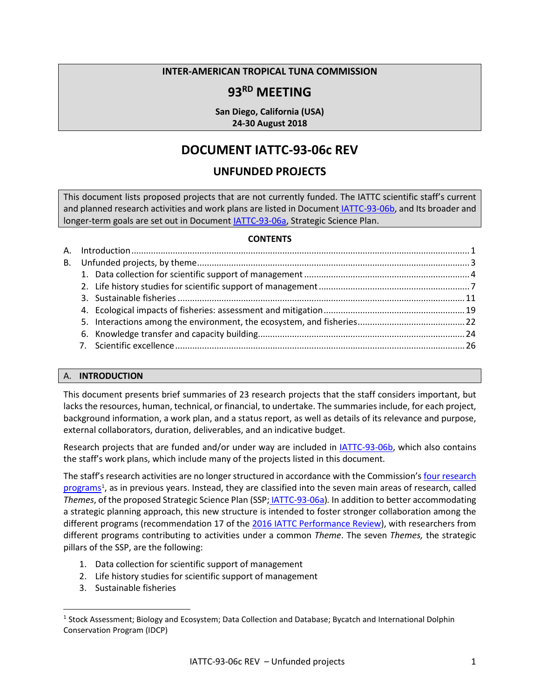### **INTER-AMERICAN TROPICAL TUNA COMMISSION**

## **93RD MEETING**

**San Diego, California (USA) 24-30 August 2018**

# **DOCUMENT IATTC-93-06c REV**

## **UNFUNDED PROJECTS**

This document lists proposed projects that are not currently funded. The IATTC scientific staff's current and planned research activities and work plans are listed in Document [IATTC-93-06b,](https://www.iattc.org/Meetings/Meetings2018/IATTC-93/PDFs/Docs/_English/IATTC-93-06b_Staff%20research%20activities.pdf) and Its broader and longer-term goals are set out in Documen[t IATTC-93-06a,](https://www.iattc.org/Meetings/Meetings2018/IATTC-93/PDFs/Docs/_English/IATTC-93-06a_Strategic%20Science%20Plan.pdf) Strategic Science Plan.

#### **CONTENTS**

#### <span id="page-0-0"></span>A. **INTRODUCTION**

This document presents brief summaries of 23 research projects that the staff considers important, but lacks the resources, human, technical, or financial, to undertake. The summaries include, for each project, background information, a work plan, and a status report, as well as details of its relevance and purpose, external collaborators, duration, deliverables, and an indicative budget.

Research projects that are funded and/or under way are included in [IATTC-93-06b,](https://www.iattc.org/Meetings/Meetings2018/IATTC-93/PDFs/Docs/_English/IATTC-93-06b_Staff%20research%20activities.pdf) which also contains the staff's work plans, which include many of the projects listed in this document.

The staff's research activities are no longer structured in accordance with the Commission's four research [programs](https://www.iattc.org/ResearchENG.htm)<sup>[1](#page-0-1)</sup>, as in previous years. Instead, they are classified into the seven main areas of research, called *Themes*, of the proposed Strategic Science Plan (SSP; [IATTC-93-06a\)](https://www.iattc.org/Meetings/Meetings2018/IATTC-93/PDFs/Docs/_English/IATTC-93-06a_Strategic%20Science%20Plan.pdf)*.* In addition to better accommodating a strategic planning approach, this new structure is intended to foster stronger collaboration among the different programs (recommendation 17 of the [2016 IATTC Performance Review\)](http://www.iattc.org/Meetings/Meetings2016/IATTC-90/PDFs/Docs/_English/IATTC-90_IATTC-AIDCP-Performance-review-final-report.pdf), with researchers from different programs contributing to activities under a common *Theme*. The seven *Themes,* the strategic pillars of the SSP, are the following:

- 1. Data collection for scientific support of management
- 2. Life history studies for scientific support of management
- 3. Sustainable fisheries

<span id="page-0-1"></span><sup>&</sup>lt;sup>1</sup> Stock Assessment; Biology and Ecosystem; Data Collection and Database; Bycatch and International Dolphin Conservation Program (IDCP)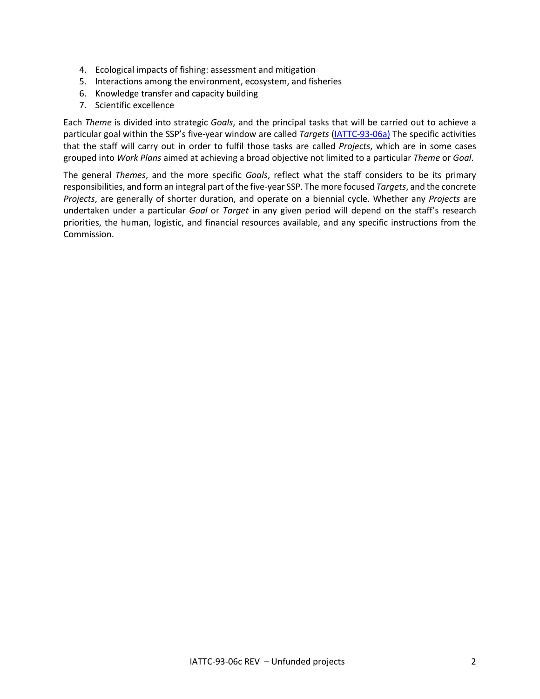- 4. Ecological impacts of fishing: assessment and mitigation
- 5. Interactions among the environment, ecosystem, and fisheries
- 6. Knowledge transfer and capacity building
- 7. Scientific excellence

Each *Theme* is divided into strategic *Goals*, and the principal tasks that will be carried out to achieve a particular goal within the SSP's five-year window are called *Targets* [\(IATTC-93-06a\)](https://www.iattc.org/Meetings/Meetings2018/IATTC-93/PDFs/Docs/_English/IATTC-93-06a_Strategic%20Science%20Plan.pdf) The specific activities that the staff will carry out in order to fulfil those tasks are called *Projects*, which are in some cases grouped into *Work Plans* aimed at achieving a broad objective not limited to a particular *Theme* or *Goal*.

The general *Themes*, and the more specific *Goals*, reflect what the staff considers to be its primary responsibilities, and form an integral part of the five-year SSP. The more focused *Targets*, and the concrete *Projects*, are generally of shorter duration, and operate on a biennial cycle. Whether any *Projects* are undertaken under a particular *Goal* or *Target* in any given period will depend on the staff's research priorities, the human, logistic, and financial resources available, and any specific instructions from the Commission.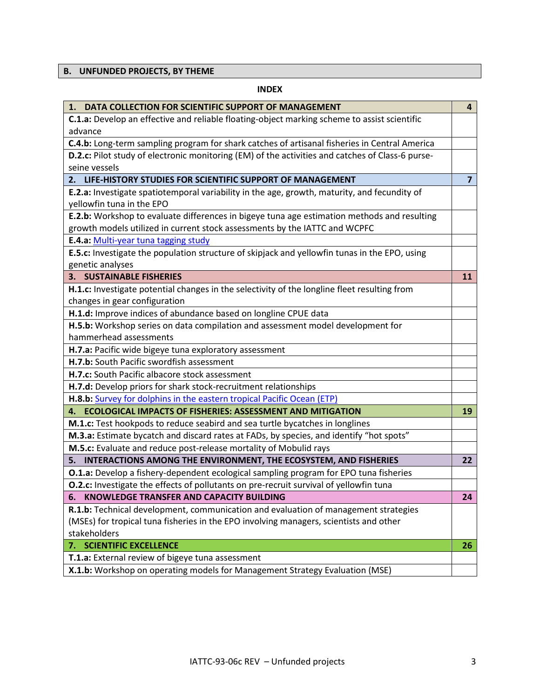## <span id="page-2-0"></span>**B. UNFUNDED PROJECTS, BY THEME**

#### **INDEX**

| 1. DATA COLLECTION FOR SCIENTIFIC SUPPORT OF MANAGEMENT                                          | 4              |
|--------------------------------------------------------------------------------------------------|----------------|
| C.1.a: Develop an effective and reliable floating-object marking scheme to assist scientific     |                |
| advance                                                                                          |                |
| C.4.b: Long-term sampling program for shark catches of artisanal fisheries in Central America    |                |
| D.2.c: Pilot study of electronic monitoring (EM) of the activities and catches of Class-6 purse- |                |
| seine vessels                                                                                    |                |
| 2. LIFE-HISTORY STUDIES FOR SCIENTIFIC SUPPORT OF MANAGEMENT                                     | $\overline{7}$ |
| E.2.a: Investigate spatiotemporal variability in the age, growth, maturity, and fecundity of     |                |
| yellowfin tuna in the EPO                                                                        |                |
| E.2.b: Workshop to evaluate differences in bigeye tuna age estimation methods and resulting      |                |
| growth models utilized in current stock assessments by the IATTC and WCPFC                       |                |
| E.4.a: Multi-year tuna tagging study                                                             |                |
| E.5.c: Investigate the population structure of skipjack and yellowfin tunas in the EPO, using    |                |
| genetic analyses                                                                                 |                |
| <b>3. SUSTAINABLE FISHERIES</b>                                                                  | 11             |
| H.1.c: Investigate potential changes in the selectivity of the longline fleet resulting from     |                |
| changes in gear configuration                                                                    |                |
| H.1.d: Improve indices of abundance based on longline CPUE data                                  |                |
| H.5.b: Workshop series on data compilation and assessment model development for                  |                |
| hammerhead assessments                                                                           |                |
| H.7.a: Pacific wide bigeye tuna exploratory assessment                                           |                |
| H.7.b: South Pacific swordfish assessment                                                        |                |
| H.7.c: South Pacific albacore stock assessment                                                   |                |
| H.7.d: Develop priors for shark stock-recruitment relationships                                  |                |
| H.8.b: Survey for dolphins in the eastern tropical Pacific Ocean (ETP)                           |                |
| 4. ECOLOGICAL IMPACTS OF FISHERIES: ASSESSMENT AND MITIGATION                                    | 19             |
| M.1.c: Test hookpods to reduce seabird and sea turtle bycatches in longlines                     |                |
| M.3.a: Estimate bycatch and discard rates at FADs, by species, and identify "hot spots"          |                |
| M.5.c: Evaluate and reduce post-release mortality of Mobulid rays                                |                |
| INTERACTIONS AMONG THE ENVIRONMENT, THE ECOSYSTEM, AND FISHERIES<br>5.                           | 22             |
| <b>O.1.a:</b> Develop a fishery-dependent ecological sampling program for EPO tuna fisheries     |                |
| O.2.c: Investigate the effects of pollutants on pre-recruit survival of yellowfin tuna           |                |
| KNOWLEDGE TRANSFER AND CAPACITY BUILDING<br>6.                                                   | 24             |
| R.1.b: Technical development, communication and evaluation of management strategies              |                |
| (MSEs) for tropical tuna fisheries in the EPO involving managers, scientists and other           |                |
| stakeholders                                                                                     |                |
| 7. SCIENTIFIC EXCELLENCE                                                                         | 26             |
| <b>T.1.a:</b> External review of bigeye tuna assessment                                          |                |
| X.1.b: Workshop on operating models for Management Strategy Evaluation (MSE)                     |                |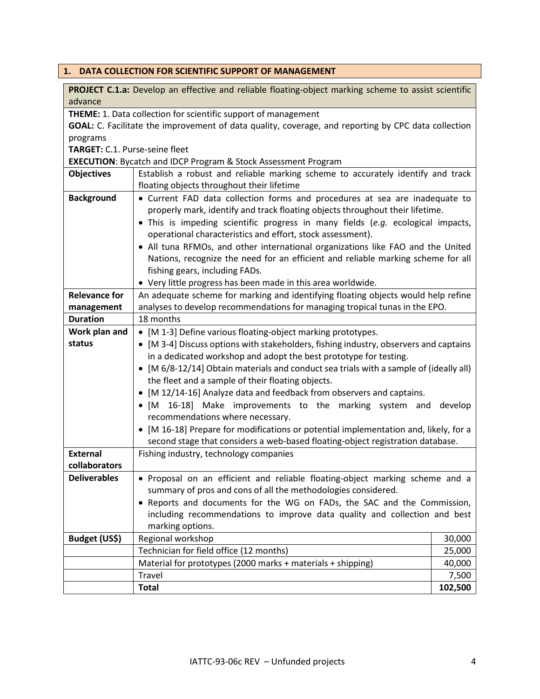# <span id="page-3-0"></span>**1. DATA COLLECTION FOR SCIENTIFIC SUPPORT OF MANAGEMENT**

| PROJECT C.1.a: Develop an effective and reliable floating-object marking scheme to assist scientific<br>advance                                                       |                                                                                        |         |  |
|-----------------------------------------------------------------------------------------------------------------------------------------------------------------------|----------------------------------------------------------------------------------------|---------|--|
|                                                                                                                                                                       |                                                                                        |         |  |
| THEME: 1. Data collection for scientific support of management<br>GOAL: C. Facilitate the improvement of data quality, coverage, and reporting by CPC data collection |                                                                                        |         |  |
| programs                                                                                                                                                              |                                                                                        |         |  |
| TARGET: C.1. Purse-seine fleet                                                                                                                                        |                                                                                        |         |  |
|                                                                                                                                                                       | <b>EXECUTION:</b> Bycatch and IDCP Program & Stock Assessment Program                  |         |  |
| <b>Objectives</b>                                                                                                                                                     | Establish a robust and reliable marking scheme to accurately identify and track        |         |  |
|                                                                                                                                                                       | floating objects throughout their lifetime                                             |         |  |
| <b>Background</b>                                                                                                                                                     | • Current FAD data collection forms and procedures at sea are inadequate to            |         |  |
|                                                                                                                                                                       | properly mark, identify and track floating objects throughout their lifetime.          |         |  |
|                                                                                                                                                                       | • This is impeding scientific progress in many fields (e.g. ecological impacts,        |         |  |
|                                                                                                                                                                       | operational characteristics and effort, stock assessment).                             |         |  |
|                                                                                                                                                                       | • All tuna RFMOs, and other international organizations like FAO and the United        |         |  |
|                                                                                                                                                                       | Nations, recognize the need for an efficient and reliable marking scheme for all       |         |  |
|                                                                                                                                                                       | fishing gears, including FADs.                                                         |         |  |
|                                                                                                                                                                       | • Very little progress has been made in this area worldwide.                           |         |  |
| <b>Relevance for</b>                                                                                                                                                  | An adequate scheme for marking and identifying floating objects would help refine      |         |  |
| management                                                                                                                                                            | analyses to develop recommendations for managing tropical tunas in the EPO.            |         |  |
| <b>Duration</b>                                                                                                                                                       | 18 months                                                                              |         |  |
| Work plan and                                                                                                                                                         | • [M 1-3] Define various floating-object marking prototypes.                           |         |  |
| status                                                                                                                                                                | • [M 3-4] Discuss options with stakeholders, fishing industry, observers and captains  |         |  |
|                                                                                                                                                                       | in a dedicated workshop and adopt the best prototype for testing.                      |         |  |
|                                                                                                                                                                       | • [M 6/8-12/14] Obtain materials and conduct sea trials with a sample of (ideally all) |         |  |
|                                                                                                                                                                       | the fleet and a sample of their floating objects.                                      |         |  |
|                                                                                                                                                                       | • [M 12/14-16] Analyze data and feedback from observers and captains.                  |         |  |
|                                                                                                                                                                       | • [M 16-18] Make improvements to the marking system and                                | develop |  |
|                                                                                                                                                                       | recommendations where necessary.                                                       |         |  |
|                                                                                                                                                                       | • [M 16-18] Prepare for modifications or potential implementation and, likely, for a   |         |  |
|                                                                                                                                                                       | second stage that considers a web-based floating-object registration database.         |         |  |
| <b>External</b>                                                                                                                                                       | Fishing industry, technology companies                                                 |         |  |
| collaborators                                                                                                                                                         |                                                                                        |         |  |
| <b>Deliverables</b>                                                                                                                                                   | . Proposal on an efficient and reliable floating-object marking scheme and a           |         |  |
|                                                                                                                                                                       | summary of pros and cons of all the methodologies considered.                          |         |  |
|                                                                                                                                                                       | Reports and documents for the WG on FADs, the SAC and the Commission,                  |         |  |
|                                                                                                                                                                       | including recommendations to improve data quality and collection and best              |         |  |
| marking options.                                                                                                                                                      |                                                                                        |         |  |
| Budget (US\$)                                                                                                                                                         | Regional workshop                                                                      | 30,000  |  |
|                                                                                                                                                                       | Technician for field office (12 months)                                                | 25,000  |  |
|                                                                                                                                                                       | Material for prototypes (2000 marks + materials + shipping)                            | 40,000  |  |
|                                                                                                                                                                       | Travel                                                                                 | 7,500   |  |
|                                                                                                                                                                       | <b>Total</b>                                                                           | 102,500 |  |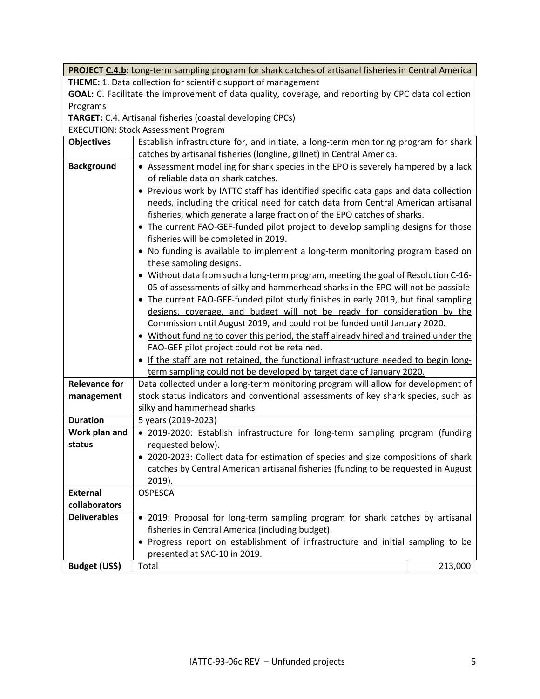**PROJECT C.4.b:** Long-term sampling program for shark catches of artisanal fisheries in Central America **THEME:** 1. Data collection for scientific support of management

**GOAL:** C. Facilitate the improvement of data quality, coverage, and reporting by CPC data collection Programs

**TARGET:** C.4. Artisanal fisheries (coastal developing CPCs)

EXECUTION: Stock Assessment Program

|                                    | EXECUTION: Stock / 1996991116111 1 0 A1 0111                                          |         |  |
|------------------------------------|---------------------------------------------------------------------------------------|---------|--|
| <b>Objectives</b>                  | Establish infrastructure for, and initiate, a long-term monitoring program for shark  |         |  |
|                                    | catches by artisanal fisheries (longline, gillnet) in Central America.                |         |  |
| <b>Background</b>                  | • Assessment modelling for shark species in the EPO is severely hampered by a lack    |         |  |
| of reliable data on shark catches. |                                                                                       |         |  |
|                                    | • Previous work by IATTC staff has identified specific data gaps and data collection  |         |  |
|                                    | needs, including the critical need for catch data from Central American artisanal     |         |  |
|                                    | fisheries, which generate a large fraction of the EPO catches of sharks.              |         |  |
|                                    | • The current FAO-GEF-funded pilot project to develop sampling designs for those      |         |  |
|                                    | fisheries will be completed in 2019.                                                  |         |  |
|                                    | • No funding is available to implement a long-term monitoring program based on        |         |  |
|                                    | these sampling designs.                                                               |         |  |
|                                    | • Without data from such a long-term program, meeting the goal of Resolution C-16-    |         |  |
|                                    | 05 of assessments of silky and hammerhead sharks in the EPO will not be possible      |         |  |
|                                    | • The current FAO-GEF-funded pilot study finishes in early 2019, but final sampling   |         |  |
|                                    | designs, coverage, and budget will not be ready for consideration by the              |         |  |
|                                    | Commission until August 2019, and could not be funded until January 2020.             |         |  |
|                                    | . Without funding to cover this period, the staff already hired and trained under the |         |  |
|                                    | FAO-GEF pilot project could not be retained.                                          |         |  |
|                                    | • If the staff are not retained, the functional infrastructure needed to begin long-  |         |  |
|                                    | term sampling could not be developed by target date of January 2020.                  |         |  |
| <b>Relevance for</b>               | Data collected under a long-term monitoring program will allow for development of     |         |  |
| management                         | stock status indicators and conventional assessments of key shark species, such as    |         |  |
|                                    | silky and hammerhead sharks                                                           |         |  |
| <b>Duration</b>                    | 5 years (2019-2023)                                                                   |         |  |
| Work plan and                      | · 2019-2020: Establish infrastructure for long-term sampling program (funding         |         |  |
| status                             | requested below).                                                                     |         |  |
|                                    | • 2020-2023: Collect data for estimation of species and size compositions of shark    |         |  |
|                                    | catches by Central American artisanal fisheries (funding to be requested in August    |         |  |
|                                    | $2019$ ).                                                                             |         |  |
| <b>External</b>                    | <b>OSPESCA</b>                                                                        |         |  |
| collaborators                      |                                                                                       |         |  |
| <b>Deliverables</b>                | . 2019: Proposal for long-term sampling program for shark catches by artisanal        |         |  |
|                                    | fisheries in Central America (including budget).                                      |         |  |
|                                    | • Progress report on establishment of infrastructure and initial sampling to be       |         |  |
|                                    | presented at SAC-10 in 2019.                                                          |         |  |
| Budget (US\$)                      | Total                                                                                 | 213,000 |  |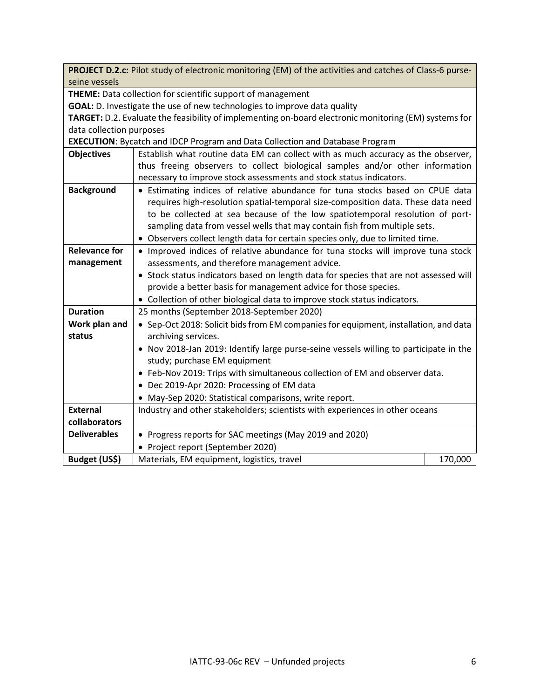**PROJECT D.2.c:** Pilot study of electronic monitoring (EM) of the activities and catches of Class-6 purseseine vessels

**THEME:** Data collection for scientific support of management

**GOAL:** D. Investigate the use of new technologies to improve data quality

**TARGET:** D.2. Evaluate the feasibility of implementing on-board electronic monitoring (EM) systems for data collection purposes

**EXECUTION**: Bycatch and IDCP Program and Data Collection and Database Program

| <b>Objectives</b>    | Establish what routine data EM can collect with as much accuracy as the observer,     |         |  |
|----------------------|---------------------------------------------------------------------------------------|---------|--|
|                      | thus freeing observers to collect biological samples and/or other information         |         |  |
|                      | necessary to improve stock assessments and stock status indicators.                   |         |  |
| <b>Background</b>    | • Estimating indices of relative abundance for tuna stocks based on CPUE data         |         |  |
|                      | requires high-resolution spatial-temporal size-composition data. These data need      |         |  |
|                      | to be collected at sea because of the low spatiotemporal resolution of port-          |         |  |
|                      | sampling data from vessel wells that may contain fish from multiple sets.             |         |  |
|                      | • Observers collect length data for certain species only, due to limited time.        |         |  |
| <b>Relevance for</b> | • Improved indices of relative abundance for tuna stocks will improve tuna stock      |         |  |
| management           | assessments, and therefore management advice.                                         |         |  |
|                      | • Stock status indicators based on length data for species that are not assessed will |         |  |
|                      | provide a better basis for management advice for those species.                       |         |  |
|                      | • Collection of other biological data to improve stock status indicators.             |         |  |
| <b>Duration</b>      | 25 months (September 2018-September 2020)                                             |         |  |
| Work plan and        | • Sep-Oct 2018: Solicit bids from EM companies for equipment, installation, and data  |         |  |
| status               | archiving services.                                                                   |         |  |
|                      | . Nov 2018-Jan 2019: Identify large purse-seine vessels willing to participate in the |         |  |
|                      | study; purchase EM equipment                                                          |         |  |
|                      | • Feb-Nov 2019: Trips with simultaneous collection of EM and observer data.           |         |  |
|                      | • Dec 2019-Apr 2020: Processing of EM data                                            |         |  |
|                      | • May-Sep 2020: Statistical comparisons, write report.                                |         |  |
| <b>External</b>      | Industry and other stakeholders; scientists with experiences in other oceans          |         |  |
| collaborators        |                                                                                       |         |  |
| <b>Deliverables</b>  | • Progress reports for SAC meetings (May 2019 and 2020)                               |         |  |
|                      | • Project report (September 2020)                                                     |         |  |
| Budget (US\$)        | Materials, EM equipment, logistics, travel                                            | 170,000 |  |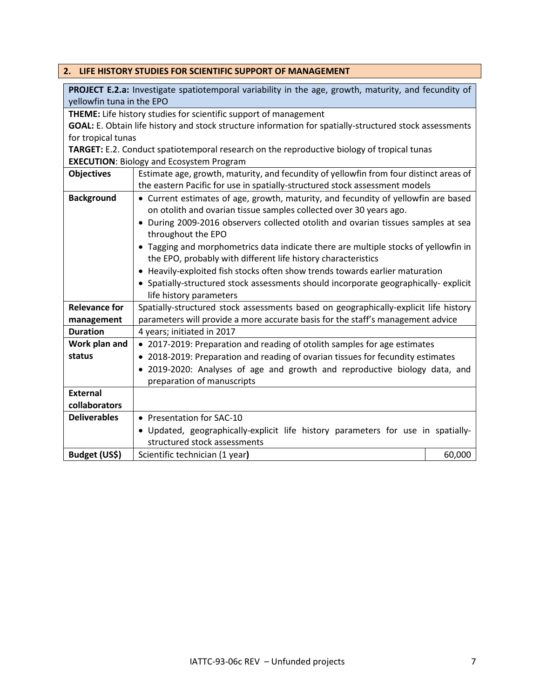## <span id="page-6-0"></span>**2. LIFE HISTORY STUDIES FOR SCIENTIFIC SUPPORT OF MANAGEMENT**

| PROJECT E.2.a: Investigate spatiotemporal variability in the age, growth, maturity, and fecundity of |                                                                                                         |        |  |  |
|------------------------------------------------------------------------------------------------------|---------------------------------------------------------------------------------------------------------|--------|--|--|
| yellowfin tuna in the EPO                                                                            |                                                                                                         |        |  |  |
|                                                                                                      | THEME: Life history studies for scientific support of management                                        |        |  |  |
|                                                                                                      | GOAL: E. Obtain life history and stock structure information for spatially-structured stock assessments |        |  |  |
| for tropical tunas                                                                                   |                                                                                                         |        |  |  |
|                                                                                                      | TARGET: E.2. Conduct spatiotemporal research on the reproductive biology of tropical tunas              |        |  |  |
|                                                                                                      | <b>EXECUTION: Biology and Ecosystem Program</b>                                                         |        |  |  |
| <b>Objectives</b>                                                                                    | Estimate age, growth, maturity, and fecundity of yellowfin from four distinct areas of                  |        |  |  |
|                                                                                                      | the eastern Pacific for use in spatially-structured stock assessment models                             |        |  |  |
| <b>Background</b>                                                                                    | • Current estimates of age, growth, maturity, and fecundity of yellowfin are based                      |        |  |  |
|                                                                                                      | on otolith and ovarian tissue samples collected over 30 years ago.                                      |        |  |  |
|                                                                                                      | • During 2009-2016 observers collected otolith and ovarian tissues samples at sea                       |        |  |  |
|                                                                                                      | throughout the EPO                                                                                      |        |  |  |
|                                                                                                      | • Tagging and morphometrics data indicate there are multiple stocks of yellowfin in                     |        |  |  |
| the EPO, probably with different life history characteristics                                        |                                                                                                         |        |  |  |
| • Heavily-exploited fish stocks often show trends towards earlier maturation                         |                                                                                                         |        |  |  |
|                                                                                                      | • Spatially-structured stock assessments should incorporate geographically-explicit                     |        |  |  |
|                                                                                                      | life history parameters                                                                                 |        |  |  |
| <b>Relevance for</b>                                                                                 | Spatially-structured stock assessments based on geographically-explicit life history                    |        |  |  |
| management                                                                                           | parameters will provide a more accurate basis for the staff's management advice                         |        |  |  |
| <b>Duration</b>                                                                                      | 4 years; initiated in 2017                                                                              |        |  |  |
| Work plan and                                                                                        | • 2017-2019: Preparation and reading of otolith samples for age estimates                               |        |  |  |
| status                                                                                               | • 2018-2019: Preparation and reading of ovarian tissues for fecundity estimates                         |        |  |  |
|                                                                                                      | • 2019-2020: Analyses of age and growth and reproductive biology data, and                              |        |  |  |
|                                                                                                      | preparation of manuscripts                                                                              |        |  |  |
| <b>External</b>                                                                                      |                                                                                                         |        |  |  |
| collaborators                                                                                        |                                                                                                         |        |  |  |
| <b>Deliverables</b>                                                                                  | • Presentation for SAC-10                                                                               |        |  |  |
|                                                                                                      | . Updated, geographically-explicit life history parameters for use in spatially-                        |        |  |  |
|                                                                                                      | structured stock assessments                                                                            |        |  |  |
| Budget (US\$)                                                                                        | Scientific technician (1 year)                                                                          | 60,000 |  |  |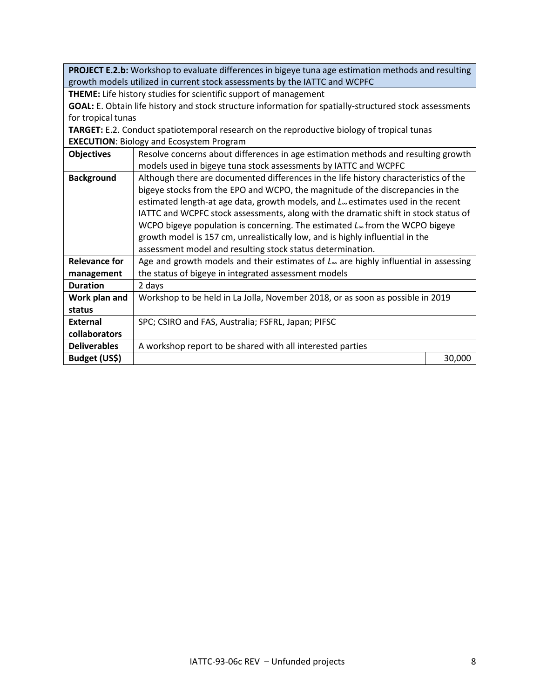**PROJECT E.2.b:** Workshop to evaluate differences in bigeye tuna age estimation methods and resulting growth models utilized in current stock assessments by the IATTC and WCPFC

**THEME:** Life history studies for scientific support of management

**GOAL:** E. Obtain life history and stock structure information for spatially-structured stock assessments for tropical tunas

**TARGET:** E.2. Conduct spatiotemporal research on the reproductive biology of tropical tunas **EXECUTION**: Biology and Ecosystem Program

| <b>Objectives</b>    | Resolve concerns about differences in age estimation methods and resulting growth<br>models used in bigeye tuna stock assessments by IATTC and WCPFC |        |
|----------------------|------------------------------------------------------------------------------------------------------------------------------------------------------|--------|
| <b>Background</b>    | Although there are documented differences in the life history characteristics of the                                                                 |        |
|                      | bigeye stocks from the EPO and WCPO, the magnitude of the discrepancies in the                                                                       |        |
|                      | estimated length-at age data, growth models, and L <sub>®</sub> estimates used in the recent                                                         |        |
|                      | IATTC and WCPFC stock assessments, along with the dramatic shift in stock status of                                                                  |        |
|                      | WCPO bigeye population is concerning. The estimated $L_{\infty}$ from the WCPO bigeye                                                                |        |
|                      | growth model is 157 cm, unrealistically low, and is highly influential in the                                                                        |        |
|                      | assessment model and resulting stock status determination.                                                                                           |        |
| <b>Relevance for</b> | Age and growth models and their estimates of $L_{\infty}$ are highly influential in assessing                                                        |        |
| management           | the status of bigeye in integrated assessment models                                                                                                 |        |
| <b>Duration</b>      | 2 days                                                                                                                                               |        |
| Work plan and        | Workshop to be held in La Jolla, November 2018, or as soon as possible in 2019                                                                       |        |
| status               |                                                                                                                                                      |        |
| <b>External</b>      | SPC; CSIRO and FAS, Australia; FSFRL, Japan; PIFSC                                                                                                   |        |
| collaborators        |                                                                                                                                                      |        |
| <b>Deliverables</b>  | A workshop report to be shared with all interested parties                                                                                           |        |
| Budget (US\$)        |                                                                                                                                                      | 30,000 |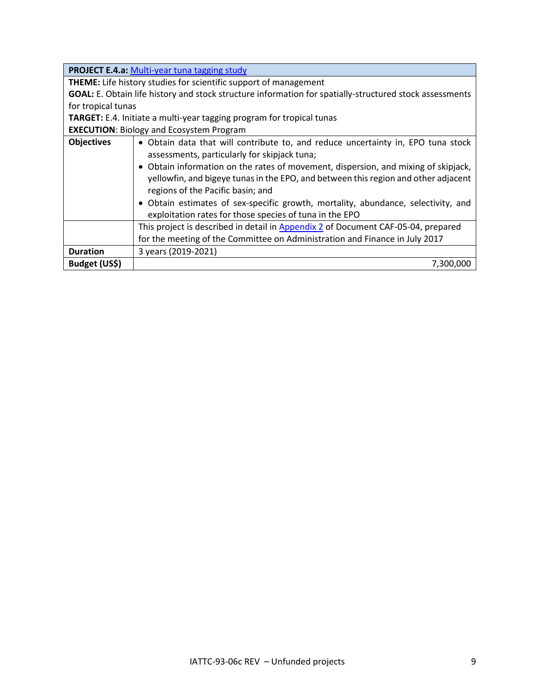|                    | <b>PROJECT E.4.a: Multi-year tuna tagging study</b>                                                                                                                                                                                                                                                                                                                                                                                                                                               |  |  |
|--------------------|---------------------------------------------------------------------------------------------------------------------------------------------------------------------------------------------------------------------------------------------------------------------------------------------------------------------------------------------------------------------------------------------------------------------------------------------------------------------------------------------------|--|--|
|                    | THEME: Life history studies for scientific support of management                                                                                                                                                                                                                                                                                                                                                                                                                                  |  |  |
|                    | GOAL: E. Obtain life history and stock structure information for spatially-structured stock assessments                                                                                                                                                                                                                                                                                                                                                                                           |  |  |
| for tropical tunas |                                                                                                                                                                                                                                                                                                                                                                                                                                                                                                   |  |  |
|                    | TARGET: E.4. Initiate a multi-year tagging program for tropical tunas                                                                                                                                                                                                                                                                                                                                                                                                                             |  |  |
|                    | <b>EXECUTION: Biology and Ecosystem Program</b>                                                                                                                                                                                                                                                                                                                                                                                                                                                   |  |  |
| <b>Objectives</b>  | • Obtain data that will contribute to, and reduce uncertainty in, EPO tuna stock<br>assessments, particularly for skipjack tuna;<br>• Obtain information on the rates of movement, dispersion, and mixing of skipjack,<br>yellowfin, and bigeye tunas in the EPO, and between this region and other adjacent<br>regions of the Pacific basin; and<br>• Obtain estimates of sex-specific growth, mortality, abundance, selectivity, and<br>exploitation rates for those species of tuna in the EPO |  |  |
|                    | This project is described in detail in Appendix 2 of Document CAF-05-04, prepared                                                                                                                                                                                                                                                                                                                                                                                                                 |  |  |
|                    | for the meeting of the Committee on Administration and Finance in July 2017                                                                                                                                                                                                                                                                                                                                                                                                                       |  |  |
| <b>Duration</b>    | 3 years (2019-2021)                                                                                                                                                                                                                                                                                                                                                                                                                                                                               |  |  |
| Budget (US\$)      | 7,300,000                                                                                                                                                                                                                                                                                                                                                                                                                                                                                         |  |  |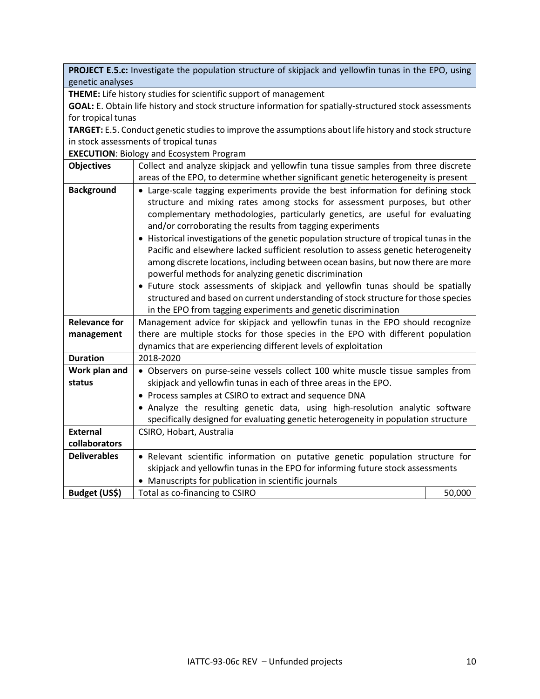**PROJECT E.5.c:** Investigate the population structure of skipjack and yellowfin tunas in the EPO, using genetic analyses

**THEME:** Life history studies for scientific support of management

**GOAL:** E. Obtain life history and stock structure information for spatially-structured stock assessments for tropical tunas

**TARGET:** E.5. Conduct genetic studies to improve the assumptions about life history and stock structure in stock assessments of tropical tunas

**EXECUTION**: Biology and Ecosystem Program

| <b>Objectives</b>    | Collect and analyze skipjack and yellowfin tuna tissue samples from three discrete                                                                                                                                                                                                                                                                                                                                                                                                                                                                                                                                                                                                                                                                                                                                                                                                     |        |  |
|----------------------|----------------------------------------------------------------------------------------------------------------------------------------------------------------------------------------------------------------------------------------------------------------------------------------------------------------------------------------------------------------------------------------------------------------------------------------------------------------------------------------------------------------------------------------------------------------------------------------------------------------------------------------------------------------------------------------------------------------------------------------------------------------------------------------------------------------------------------------------------------------------------------------|--------|--|
|                      | areas of the EPO, to determine whether significant genetic heterogeneity is present                                                                                                                                                                                                                                                                                                                                                                                                                                                                                                                                                                                                                                                                                                                                                                                                    |        |  |
| <b>Background</b>    | • Large-scale tagging experiments provide the best information for defining stock<br>structure and mixing rates among stocks for assessment purposes, but other<br>complementary methodologies, particularly genetics, are useful for evaluating<br>and/or corroborating the results from tagging experiments<br>• Historical investigations of the genetic population structure of tropical tunas in the<br>Pacific and elsewhere lacked sufficient resolution to assess genetic heterogeneity<br>among discrete locations, including between ocean basins, but now there are more<br>powerful methods for analyzing genetic discrimination<br>• Future stock assessments of skipjack and yellowfin tunas should be spatially<br>structured and based on current understanding of stock structure for those species<br>in the EPO from tagging experiments and genetic discrimination |        |  |
| <b>Relevance for</b> | Management advice for skipjack and yellowfin tunas in the EPO should recognize                                                                                                                                                                                                                                                                                                                                                                                                                                                                                                                                                                                                                                                                                                                                                                                                         |        |  |
| management           | there are multiple stocks for those species in the EPO with different population                                                                                                                                                                                                                                                                                                                                                                                                                                                                                                                                                                                                                                                                                                                                                                                                       |        |  |
|                      | dynamics that are experiencing different levels of exploitation                                                                                                                                                                                                                                                                                                                                                                                                                                                                                                                                                                                                                                                                                                                                                                                                                        |        |  |
| <b>Duration</b>      | 2018-2020                                                                                                                                                                                                                                                                                                                                                                                                                                                                                                                                                                                                                                                                                                                                                                                                                                                                              |        |  |
| Work plan and        | • Observers on purse-seine vessels collect 100 white muscle tissue samples from                                                                                                                                                                                                                                                                                                                                                                                                                                                                                                                                                                                                                                                                                                                                                                                                        |        |  |
| status               | skipjack and yellowfin tunas in each of three areas in the EPO.                                                                                                                                                                                                                                                                                                                                                                                                                                                                                                                                                                                                                                                                                                                                                                                                                        |        |  |
|                      | • Process samples at CSIRO to extract and sequence DNA                                                                                                                                                                                                                                                                                                                                                                                                                                                                                                                                                                                                                                                                                                                                                                                                                                 |        |  |
|                      | • Analyze the resulting genetic data, using high-resolution analytic software<br>specifically designed for evaluating genetic heterogeneity in population structure                                                                                                                                                                                                                                                                                                                                                                                                                                                                                                                                                                                                                                                                                                                    |        |  |
| <b>External</b>      | CSIRO, Hobart, Australia                                                                                                                                                                                                                                                                                                                                                                                                                                                                                                                                                                                                                                                                                                                                                                                                                                                               |        |  |
| collaborators        |                                                                                                                                                                                                                                                                                                                                                                                                                                                                                                                                                                                                                                                                                                                                                                                                                                                                                        |        |  |
| <b>Deliverables</b>  | · Relevant scientific information on putative genetic population structure for                                                                                                                                                                                                                                                                                                                                                                                                                                                                                                                                                                                                                                                                                                                                                                                                         |        |  |
|                      | skipjack and yellowfin tunas in the EPO for informing future stock assessments                                                                                                                                                                                                                                                                                                                                                                                                                                                                                                                                                                                                                                                                                                                                                                                                         |        |  |
|                      | • Manuscripts for publication in scientific journals                                                                                                                                                                                                                                                                                                                                                                                                                                                                                                                                                                                                                                                                                                                                                                                                                                   |        |  |
| Budget (US\$)        | Total as co-financing to CSIRO                                                                                                                                                                                                                                                                                                                                                                                                                                                                                                                                                                                                                                                                                                                                                                                                                                                         | 50,000 |  |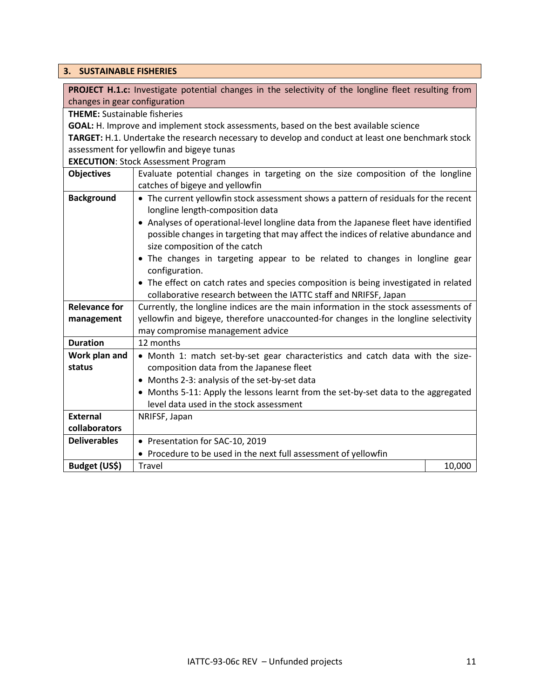#### <span id="page-10-0"></span>**3. SUSTAINABLE FISHERIES**

**PROJECT H.1.c:** Investigate potential changes in the selectivity of the longline fleet resulting from changes in gear configuration

**THEME:** Sustainable fisheries

**GOAL:** H. Improve and implement stock assessments, based on the best available science

**TARGET:** H.1. Undertake the research necessary to develop and conduct at least one benchmark stock assessment for yellowfin and bigeye tunas

**EXECUTION**: Stock Assessment Program

|                      | LALCO HON. JIOUN ASSESSMENTE FIORI QUIT                                               |  |  |
|----------------------|---------------------------------------------------------------------------------------|--|--|
| <b>Objectives</b>    | Evaluate potential changes in targeting on the size composition of the longline       |  |  |
|                      | catches of bigeye and yellowfin                                                       |  |  |
| <b>Background</b>    | • The current yellowfin stock assessment shows a pattern of residuals for the recent  |  |  |
|                      | longline length-composition data                                                      |  |  |
|                      | • Analyses of operational-level longline data from the Japanese fleet have identified |  |  |
|                      | possible changes in targeting that may affect the indices of relative abundance and   |  |  |
|                      | size composition of the catch                                                         |  |  |
|                      | . The changes in targeting appear to be related to changes in longline gear           |  |  |
|                      | configuration.                                                                        |  |  |
|                      | • The effect on catch rates and species composition is being investigated in related  |  |  |
|                      | collaborative research between the IATTC staff and NRIFSF, Japan                      |  |  |
| <b>Relevance for</b> | Currently, the longline indices are the main information in the stock assessments of  |  |  |
| management           | yellowfin and bigeye, therefore unaccounted-for changes in the longline selectivity   |  |  |
|                      | may compromise management advice                                                      |  |  |
| <b>Duration</b>      | 12 months                                                                             |  |  |
| Work plan and        | • Month 1: match set-by-set gear characteristics and catch data with the size-        |  |  |
| status               | composition data from the Japanese fleet                                              |  |  |
|                      | • Months 2-3: analysis of the set-by-set data                                         |  |  |
|                      | • Months 5-11: Apply the lessons learnt from the set-by-set data to the aggregated    |  |  |
|                      | level data used in the stock assessment                                               |  |  |
| <b>External</b>      | NRIFSF, Japan                                                                         |  |  |
| collaborators        |                                                                                       |  |  |
| <b>Deliverables</b>  | • Presentation for SAC-10, 2019                                                       |  |  |
|                      | • Procedure to be used in the next full assessment of yellowfin                       |  |  |
| Budget (US\$)        | 10,000<br><b>Travel</b>                                                               |  |  |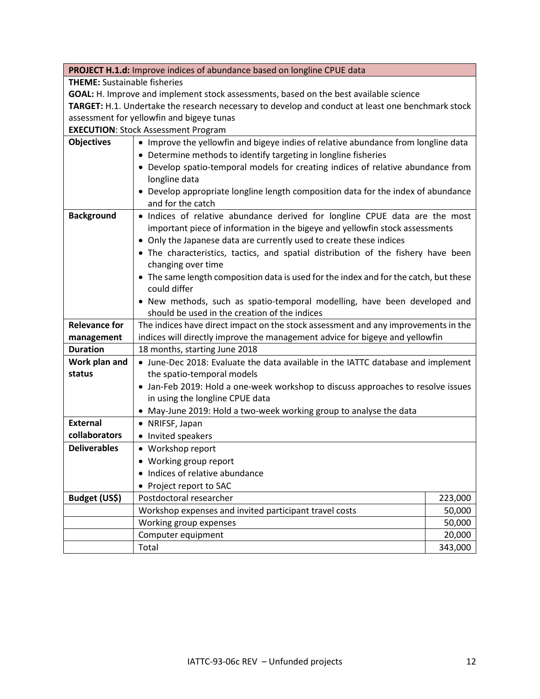|                                     | PROJECT H.1.d: Improve indices of abundance based on longline CPUE data                                                                             |         |  |  |
|-------------------------------------|-----------------------------------------------------------------------------------------------------------------------------------------------------|---------|--|--|
| <b>THEME:</b> Sustainable fisheries |                                                                                                                                                     |         |  |  |
|                                     | GOAL: H. Improve and implement stock assessments, based on the best available science                                                               |         |  |  |
|                                     | TARGET: H.1. Undertake the research necessary to develop and conduct at least one benchmark stock                                                   |         |  |  |
|                                     | assessment for yellowfin and bigeye tunas                                                                                                           |         |  |  |
|                                     | <b>EXECUTION: Stock Assessment Program</b>                                                                                                          |         |  |  |
| <b>Objectives</b>                   | • Improve the yellowfin and bigeye indies of relative abundance from longline data                                                                  |         |  |  |
|                                     | • Determine methods to identify targeting in longline fisheries                                                                                     |         |  |  |
|                                     | • Develop spatio-temporal models for creating indices of relative abundance from                                                                    |         |  |  |
|                                     | longline data                                                                                                                                       |         |  |  |
|                                     | • Develop appropriate longline length composition data for the index of abundance                                                                   |         |  |  |
|                                     | and for the catch                                                                                                                                   |         |  |  |
| <b>Background</b>                   | . Indices of relative abundance derived for longline CPUE data are the most                                                                         |         |  |  |
|                                     | important piece of information in the bigeye and yellowfin stock assessments<br>• Only the Japanese data are currently used to create these indices |         |  |  |
|                                     | • The characteristics, tactics, and spatial distribution of the fishery have been                                                                   |         |  |  |
|                                     | changing over time                                                                                                                                  |         |  |  |
|                                     |                                                                                                                                                     |         |  |  |
|                                     | • The same length composition data is used for the index and for the catch, but these<br>could differ                                               |         |  |  |
|                                     | . New methods, such as spatio-temporal modelling, have been developed and                                                                           |         |  |  |
|                                     | should be used in the creation of the indices                                                                                                       |         |  |  |
| <b>Relevance for</b>                | The indices have direct impact on the stock assessment and any improvements in the                                                                  |         |  |  |
| management                          | indices will directly improve the management advice for bigeye and yellowfin                                                                        |         |  |  |
| <b>Duration</b>                     | 18 months, starting June 2018                                                                                                                       |         |  |  |
| Work plan and                       | • June-Dec 2018: Evaluate the data available in the IATTC database and implement                                                                    |         |  |  |
| status                              | the spatio-temporal models                                                                                                                          |         |  |  |
|                                     | • Jan-Feb 2019: Hold a one-week workshop to discuss approaches to resolve issues                                                                    |         |  |  |
|                                     | in using the longline CPUE data                                                                                                                     |         |  |  |
|                                     | • May-June 2019: Hold a two-week working group to analyse the data                                                                                  |         |  |  |
| <b>External</b>                     | • NRIFSF, Japan                                                                                                                                     |         |  |  |
| collaborators                       | • Invited speakers                                                                                                                                  |         |  |  |
| <b>Deliverables</b>                 | • Workshop report                                                                                                                                   |         |  |  |
|                                     | • Working group report                                                                                                                              |         |  |  |
|                                     | • Indices of relative abundance                                                                                                                     |         |  |  |
|                                     | • Project report to SAC                                                                                                                             |         |  |  |
| Budget (US\$)                       | Postdoctoral researcher                                                                                                                             | 223,000 |  |  |
|                                     | Workshop expenses and invited participant travel costs                                                                                              | 50,000  |  |  |
|                                     | Working group expenses                                                                                                                              | 50,000  |  |  |
|                                     | Computer equipment<br>Total                                                                                                                         | 20,000  |  |  |
|                                     |                                                                                                                                                     | 343,000 |  |  |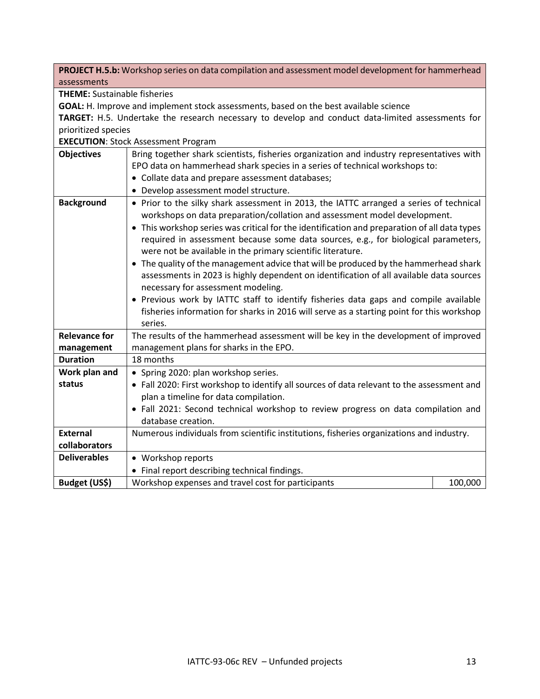**PROJECT H.5.b:** Workshop series on data compilation and assessment model development for hammerhead assessments

**THEME:** Sustainable fisheries

**GOAL:** H. Improve and implement stock assessments, based on the best available science

**TARGET:** H.5. Undertake the research necessary to develop and conduct data-limited assessments for prioritized species

**EXECUTION**: Stock Assessment Program

| <b>Objectives</b><br>Bring together shark scientists, fisheries organization and industry representatives with |                                                                                                                                                                                                                                                                                                                                                                                                                                                                                                                                                                                                                                                                                                                                                                                                                                                    |         |  |
|----------------------------------------------------------------------------------------------------------------|----------------------------------------------------------------------------------------------------------------------------------------------------------------------------------------------------------------------------------------------------------------------------------------------------------------------------------------------------------------------------------------------------------------------------------------------------------------------------------------------------------------------------------------------------------------------------------------------------------------------------------------------------------------------------------------------------------------------------------------------------------------------------------------------------------------------------------------------------|---------|--|
|                                                                                                                | EPO data on hammerhead shark species in a series of technical workshops to:                                                                                                                                                                                                                                                                                                                                                                                                                                                                                                                                                                                                                                                                                                                                                                        |         |  |
|                                                                                                                | • Collate data and prepare assessment databases;                                                                                                                                                                                                                                                                                                                                                                                                                                                                                                                                                                                                                                                                                                                                                                                                   |         |  |
|                                                                                                                | Develop assessment model structure.                                                                                                                                                                                                                                                                                                                                                                                                                                                                                                                                                                                                                                                                                                                                                                                                                |         |  |
| <b>Background</b>                                                                                              | • Prior to the silky shark assessment in 2013, the IATTC arranged a series of technical<br>workshops on data preparation/collation and assessment model development.<br>• This workshop series was critical for the identification and preparation of all data types<br>required in assessment because some data sources, e.g., for biological parameters,<br>were not be available in the primary scientific literature.<br>• The quality of the management advice that will be produced by the hammerhead shark<br>assessments in 2023 is highly dependent on identification of all available data sources<br>necessary for assessment modeling.<br>• Previous work by IATTC staff to identify fisheries data gaps and compile available<br>fisheries information for sharks in 2016 will serve as a starting point for this workshop<br>series. |         |  |
| <b>Relevance for</b>                                                                                           | The results of the hammerhead assessment will be key in the development of improved                                                                                                                                                                                                                                                                                                                                                                                                                                                                                                                                                                                                                                                                                                                                                                |         |  |
| management                                                                                                     | management plans for sharks in the EPO.                                                                                                                                                                                                                                                                                                                                                                                                                                                                                                                                                                                                                                                                                                                                                                                                            |         |  |
| <b>Duration</b>                                                                                                | 18 months                                                                                                                                                                                                                                                                                                                                                                                                                                                                                                                                                                                                                                                                                                                                                                                                                                          |         |  |
| Work plan and                                                                                                  | • Spring 2020: plan workshop series.                                                                                                                                                                                                                                                                                                                                                                                                                                                                                                                                                                                                                                                                                                                                                                                                               |         |  |
| status                                                                                                         | • Fall 2020: First workshop to identify all sources of data relevant to the assessment and                                                                                                                                                                                                                                                                                                                                                                                                                                                                                                                                                                                                                                                                                                                                                         |         |  |
|                                                                                                                | plan a timeline for data compilation.                                                                                                                                                                                                                                                                                                                                                                                                                                                                                                                                                                                                                                                                                                                                                                                                              |         |  |
|                                                                                                                | • Fall 2021: Second technical workshop to review progress on data compilation and                                                                                                                                                                                                                                                                                                                                                                                                                                                                                                                                                                                                                                                                                                                                                                  |         |  |
|                                                                                                                | database creation.                                                                                                                                                                                                                                                                                                                                                                                                                                                                                                                                                                                                                                                                                                                                                                                                                                 |         |  |
| <b>External</b>                                                                                                | Numerous individuals from scientific institutions, fisheries organizations and industry.                                                                                                                                                                                                                                                                                                                                                                                                                                                                                                                                                                                                                                                                                                                                                           |         |  |
| collaborators                                                                                                  |                                                                                                                                                                                                                                                                                                                                                                                                                                                                                                                                                                                                                                                                                                                                                                                                                                                    |         |  |
| <b>Deliverables</b>                                                                                            | • Workshop reports                                                                                                                                                                                                                                                                                                                                                                                                                                                                                                                                                                                                                                                                                                                                                                                                                                 |         |  |
|                                                                                                                | • Final report describing technical findings.                                                                                                                                                                                                                                                                                                                                                                                                                                                                                                                                                                                                                                                                                                                                                                                                      |         |  |
| Budget (US\$)                                                                                                  | Workshop expenses and travel cost for participants                                                                                                                                                                                                                                                                                                                                                                                                                                                                                                                                                                                                                                                                                                                                                                                                 | 100,000 |  |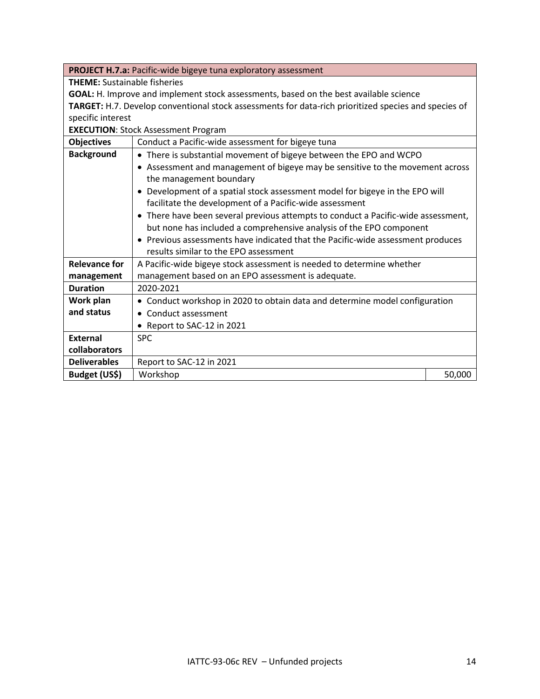|                      | PROJECT H.7.a: Pacific-wide bigeye tuna exploratory assessment                                       |        |  |  |  |
|----------------------|------------------------------------------------------------------------------------------------------|--------|--|--|--|
|                      | <b>THEME:</b> Sustainable fisheries                                                                  |        |  |  |  |
|                      | GOAL: H. Improve and implement stock assessments, based on the best available science                |        |  |  |  |
|                      | TARGET: H.7. Develop conventional stock assessments for data-rich prioritized species and species of |        |  |  |  |
| specific interest    |                                                                                                      |        |  |  |  |
|                      | <b>EXECUTION: Stock Assessment Program</b>                                                           |        |  |  |  |
| <b>Objectives</b>    | Conduct a Pacific-wide assessment for bigeye tuna                                                    |        |  |  |  |
| <b>Background</b>    | • There is substantial movement of bigeye between the EPO and WCPO                                   |        |  |  |  |
|                      | • Assessment and management of bigeye may be sensitive to the movement across                        |        |  |  |  |
|                      | the management boundary                                                                              |        |  |  |  |
|                      | • Development of a spatial stock assessment model for bigeye in the EPO will                         |        |  |  |  |
|                      | facilitate the development of a Pacific-wide assessment                                              |        |  |  |  |
|                      | • There have been several previous attempts to conduct a Pacific-wide assessment,                    |        |  |  |  |
|                      | but none has included a comprehensive analysis of the EPO component                                  |        |  |  |  |
|                      | • Previous assessments have indicated that the Pacific-wide assessment produces                      |        |  |  |  |
|                      | results similar to the EPO assessment                                                                |        |  |  |  |
| <b>Relevance for</b> | A Pacific-wide bigeye stock assessment is needed to determine whether                                |        |  |  |  |
| management           | management based on an EPO assessment is adequate.                                                   |        |  |  |  |
| <b>Duration</b>      | 2020-2021                                                                                            |        |  |  |  |
| Work plan            | • Conduct workshop in 2020 to obtain data and determine model configuration                          |        |  |  |  |
| and status           | • Conduct assessment                                                                                 |        |  |  |  |
|                      | • Report to SAC-12 in 2021                                                                           |        |  |  |  |
| <b>External</b>      | <b>SPC</b>                                                                                           |        |  |  |  |
| collaborators        |                                                                                                      |        |  |  |  |
| <b>Deliverables</b>  | Report to SAC-12 in 2021                                                                             |        |  |  |  |
| Budget (US\$)        | Workshop                                                                                             | 50,000 |  |  |  |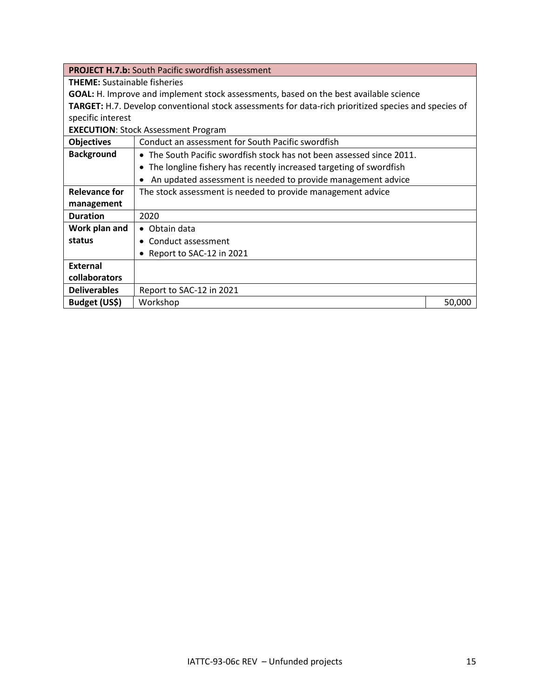|                                     | <b>PROJECT H.7.b:</b> South Pacific swordfish assessment                                                    |        |  |  |
|-------------------------------------|-------------------------------------------------------------------------------------------------------------|--------|--|--|
| <b>THEME:</b> Sustainable fisheries |                                                                                                             |        |  |  |
|                                     | <b>GOAL:</b> H. Improve and implement stock assessments, based on the best available science                |        |  |  |
|                                     | <b>TARGET:</b> H.7. Develop conventional stock assessments for data-rich prioritized species and species of |        |  |  |
| specific interest                   |                                                                                                             |        |  |  |
|                                     | <b>EXECUTION: Stock Assessment Program</b>                                                                  |        |  |  |
| <b>Objectives</b>                   | Conduct an assessment for South Pacific swordfish                                                           |        |  |  |
| <b>Background</b>                   | • The South Pacific swordfish stock has not been assessed since 2011.                                       |        |  |  |
|                                     | • The longline fishery has recently increased targeting of swordfish                                        |        |  |  |
|                                     | An updated assessment is needed to provide management advice                                                |        |  |  |
| <b>Relevance for</b>                | The stock assessment is needed to provide management advice                                                 |        |  |  |
| management                          |                                                                                                             |        |  |  |
| <b>Duration</b>                     | 2020                                                                                                        |        |  |  |
| Work plan and                       | • Obtain data                                                                                               |        |  |  |
| status                              | • Conduct assessment                                                                                        |        |  |  |
|                                     | • Report to SAC-12 in 2021                                                                                  |        |  |  |
| <b>External</b>                     |                                                                                                             |        |  |  |
| collaborators                       |                                                                                                             |        |  |  |
| <b>Deliverables</b>                 | Report to SAC-12 in 2021                                                                                    |        |  |  |
| Budget (US\$)                       | Workshop                                                                                                    | 50,000 |  |  |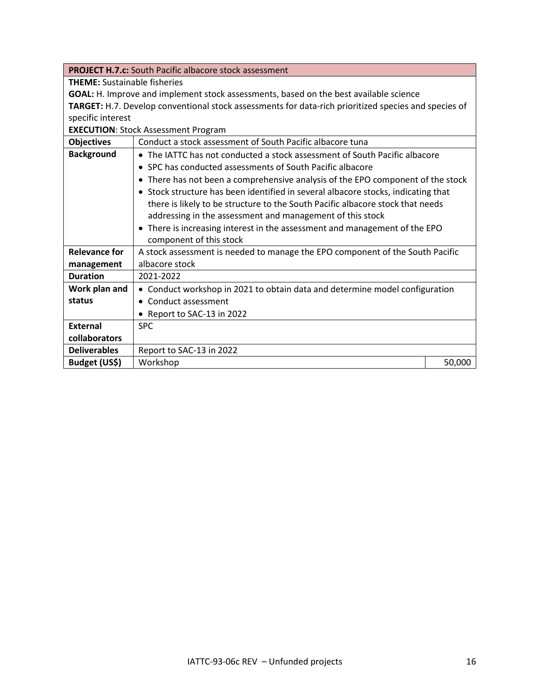|                                     | <b>PROJECT H.7.c:</b> South Pacific albacore stock assessment                                        |        |  |  |  |
|-------------------------------------|------------------------------------------------------------------------------------------------------|--------|--|--|--|
| <b>THEME:</b> Sustainable fisheries |                                                                                                      |        |  |  |  |
|                                     | GOAL: H. Improve and implement stock assessments, based on the best available science                |        |  |  |  |
|                                     | TARGET: H.7. Develop conventional stock assessments for data-rich prioritized species and species of |        |  |  |  |
| specific interest                   |                                                                                                      |        |  |  |  |
|                                     | <b>EXECUTION: Stock Assessment Program</b>                                                           |        |  |  |  |
| <b>Objectives</b>                   | Conduct a stock assessment of South Pacific albacore tuna                                            |        |  |  |  |
| <b>Background</b>                   | • The IATTC has not conducted a stock assessment of South Pacific albacore                           |        |  |  |  |
|                                     | • SPC has conducted assessments of South Pacific albacore                                            |        |  |  |  |
|                                     | • There has not been a comprehensive analysis of the EPO component of the stock                      |        |  |  |  |
|                                     | • Stock structure has been identified in several albacore stocks, indicating that                    |        |  |  |  |
|                                     | there is likely to be structure to the South Pacific albacore stock that needs                       |        |  |  |  |
|                                     | addressing in the assessment and management of this stock                                            |        |  |  |  |
|                                     | • There is increasing interest in the assessment and management of the EPO                           |        |  |  |  |
|                                     | component of this stock                                                                              |        |  |  |  |
| <b>Relevance for</b>                | A stock assessment is needed to manage the EPO component of the South Pacific                        |        |  |  |  |
| management                          | albacore stock                                                                                       |        |  |  |  |
| <b>Duration</b>                     | 2021-2022                                                                                            |        |  |  |  |
| Work plan and                       | • Conduct workshop in 2021 to obtain data and determine model configuration                          |        |  |  |  |
| status                              | • Conduct assessment                                                                                 |        |  |  |  |
|                                     | Report to SAC-13 in 2022                                                                             |        |  |  |  |
| <b>External</b>                     | <b>SPC</b>                                                                                           |        |  |  |  |
| collaborators                       |                                                                                                      |        |  |  |  |
| <b>Deliverables</b>                 | Report to SAC-13 in 2022                                                                             |        |  |  |  |
| Budget (US\$)                       | Workshop                                                                                             | 50,000 |  |  |  |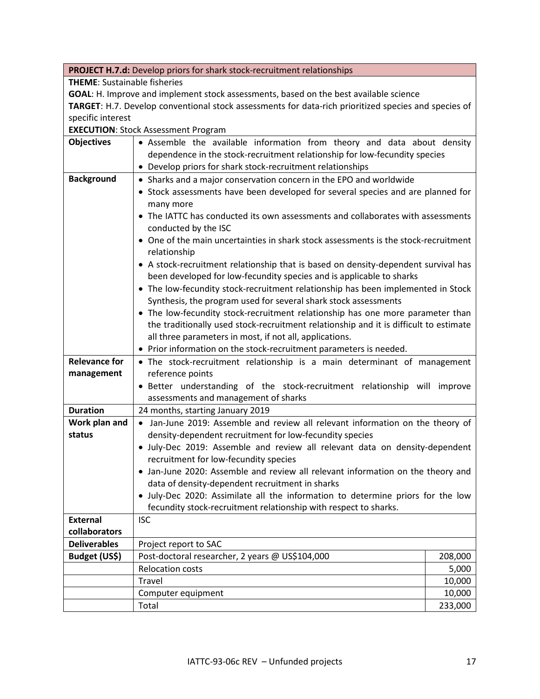|                                                                                                      | <b>PROJECT H.7.d:</b> Develop priors for shark stock-recruitment relationships                                                                                                                                                 |                                                 |  |  |
|------------------------------------------------------------------------------------------------------|--------------------------------------------------------------------------------------------------------------------------------------------------------------------------------------------------------------------------------|-------------------------------------------------|--|--|
| <b>THEME:</b> Sustainable fisheries                                                                  |                                                                                                                                                                                                                                |                                                 |  |  |
| GOAL: H. Improve and implement stock assessments, based on the best available science                |                                                                                                                                                                                                                                |                                                 |  |  |
| TARGET: H.7. Develop conventional stock assessments for data-rich prioritized species and species of |                                                                                                                                                                                                                                |                                                 |  |  |
| specific interest                                                                                    |                                                                                                                                                                                                                                |                                                 |  |  |
|                                                                                                      | <b>EXECUTION: Stock Assessment Program</b>                                                                                                                                                                                     |                                                 |  |  |
| <b>Objectives</b>                                                                                    | • Assemble the available information from theory and data about density                                                                                                                                                        |                                                 |  |  |
|                                                                                                      | dependence in the stock-recruitment relationship for low-fecundity species                                                                                                                                                     |                                                 |  |  |
|                                                                                                      | • Develop priors for shark stock-recruitment relationships                                                                                                                                                                     |                                                 |  |  |
| <b>Background</b>                                                                                    | • Sharks and a major conservation concern in the EPO and worldwide                                                                                                                                                             |                                                 |  |  |
|                                                                                                      | • Stock assessments have been developed for several species and are planned for                                                                                                                                                |                                                 |  |  |
|                                                                                                      | many more                                                                                                                                                                                                                      |                                                 |  |  |
|                                                                                                      | • The IATTC has conducted its own assessments and collaborates with assessments                                                                                                                                                |                                                 |  |  |
|                                                                                                      | conducted by the ISC                                                                                                                                                                                                           |                                                 |  |  |
|                                                                                                      | • One of the main uncertainties in shark stock assessments is the stock-recruitment                                                                                                                                            |                                                 |  |  |
|                                                                                                      | relationship                                                                                                                                                                                                                   |                                                 |  |  |
|                                                                                                      | • A stock-recruitment relationship that is based on density-dependent survival has                                                                                                                                             |                                                 |  |  |
|                                                                                                      | been developed for low-fecundity species and is applicable to sharks                                                                                                                                                           |                                                 |  |  |
|                                                                                                      | • The low-fecundity stock-recruitment relationship has been implemented in Stock                                                                                                                                               |                                                 |  |  |
|                                                                                                      | Synthesis, the program used for several shark stock assessments                                                                                                                                                                |                                                 |  |  |
|                                                                                                      | • The low-fecundity stock-recruitment relationship has one more parameter than                                                                                                                                                 |                                                 |  |  |
|                                                                                                      | the traditionally used stock-recruitment relationship and it is difficult to estimate                                                                                                                                          |                                                 |  |  |
|                                                                                                      | all three parameters in most, if not all, applications.                                                                                                                                                                        |                                                 |  |  |
|                                                                                                      | • Prior information on the stock-recruitment parameters is needed.                                                                                                                                                             |                                                 |  |  |
| <b>Relevance for</b>                                                                                 | • The stock-recruitment relationship is a main determinant of management                                                                                                                                                       |                                                 |  |  |
| management                                                                                           | reference points                                                                                                                                                                                                               |                                                 |  |  |
|                                                                                                      | • Better understanding of the stock-recruitment relationship will improve                                                                                                                                                      |                                                 |  |  |
|                                                                                                      | assessments and management of sharks                                                                                                                                                                                           |                                                 |  |  |
| <b>Duration</b>                                                                                      | 24 months, starting January 2019                                                                                                                                                                                               |                                                 |  |  |
| Work plan and                                                                                        | • Jan-June 2019: Assemble and review all relevant information on the theory of                                                                                                                                                 |                                                 |  |  |
| status                                                                                               | density-dependent recruitment for low-fecundity species                                                                                                                                                                        |                                                 |  |  |
|                                                                                                      | · July-Dec 2019: Assemble and review all relevant data on density-dependent                                                                                                                                                    |                                                 |  |  |
|                                                                                                      | recruitment for low-fecundity species                                                                                                                                                                                          |                                                 |  |  |
|                                                                                                      | • Jan-June 2020: Assemble and review all relevant information on the theory and                                                                                                                                                |                                                 |  |  |
|                                                                                                      | data of density-dependent recruitment in sharks                                                                                                                                                                                |                                                 |  |  |
|                                                                                                      | • July-Dec 2020: Assimilate all the information to determine priors for the low                                                                                                                                                |                                                 |  |  |
|                                                                                                      |                                                                                                                                                                                                                                |                                                 |  |  |
|                                                                                                      |                                                                                                                                                                                                                                |                                                 |  |  |
|                                                                                                      |                                                                                                                                                                                                                                |                                                 |  |  |
|                                                                                                      |                                                                                                                                                                                                                                |                                                 |  |  |
|                                                                                                      |                                                                                                                                                                                                                                |                                                 |  |  |
|                                                                                                      |                                                                                                                                                                                                                                |                                                 |  |  |
|                                                                                                      |                                                                                                                                                                                                                                |                                                 |  |  |
|                                                                                                      |                                                                                                                                                                                                                                |                                                 |  |  |
| <b>External</b><br>collaborators<br><b>Deliverables</b><br>Budget (US\$)                             | fecundity stock-recruitment relationship with respect to sharks.<br><b>ISC</b><br>Project report to SAC<br>Post-doctoral researcher, 2 years @ US\$104,000<br><b>Relocation costs</b><br>Travel<br>Computer equipment<br>Total | 208,000<br>5,000<br>10,000<br>10,000<br>233,000 |  |  |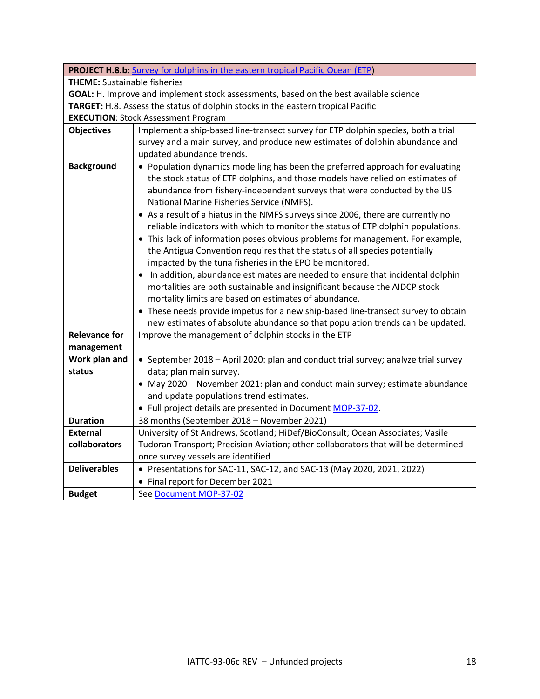| <b>PROJECT H.8.b:</b> Survey for dolphins in the eastern tropical Pacific Ocean (ETP) |                                                                                    |  |  |
|---------------------------------------------------------------------------------------|------------------------------------------------------------------------------------|--|--|
| <b>THEME:</b> Sustainable fisheries                                                   |                                                                                    |  |  |
| GOAL: H. Improve and implement stock assessments, based on the best available science |                                                                                    |  |  |
|                                                                                       | TARGET: H.8. Assess the status of dolphin stocks in the eastern tropical Pacific   |  |  |
|                                                                                       | <b>EXECUTION: Stock Assessment Program</b>                                         |  |  |
| <b>Objectives</b>                                                                     | Implement a ship-based line-transect survey for ETP dolphin species, both a trial  |  |  |
|                                                                                       | survey and a main survey, and produce new estimates of dolphin abundance and       |  |  |
|                                                                                       | updated abundance trends.                                                          |  |  |
| <b>Background</b>                                                                     | • Population dynamics modelling has been the preferred approach for evaluating     |  |  |
|                                                                                       | the stock status of ETP dolphins, and those models have relied on estimates of     |  |  |
|                                                                                       | abundance from fishery-independent surveys that were conducted by the US           |  |  |
|                                                                                       | National Marine Fisheries Service (NMFS).                                          |  |  |
|                                                                                       | • As a result of a hiatus in the NMFS surveys since 2006, there are currently no   |  |  |
|                                                                                       | reliable indicators with which to monitor the status of ETP dolphin populations.   |  |  |
|                                                                                       | • This lack of information poses obvious problems for management. For example,     |  |  |
|                                                                                       | the Antigua Convention requires that the status of all species potentially         |  |  |
|                                                                                       | impacted by the tuna fisheries in the EPO be monitored.                            |  |  |
|                                                                                       | • In addition, abundance estimates are needed to ensure that incidental dolphin    |  |  |
|                                                                                       | mortalities are both sustainable and insignificant because the AIDCP stock         |  |  |
|                                                                                       | mortality limits are based on estimates of abundance.                              |  |  |
|                                                                                       | • These needs provide impetus for a new ship-based line-transect survey to obtain  |  |  |
|                                                                                       | new estimates of absolute abundance so that population trends can be updated.      |  |  |
| <b>Relevance for</b>                                                                  | Improve the management of dolphin stocks in the ETP                                |  |  |
| management                                                                            |                                                                                    |  |  |
| Work plan and                                                                         | • September 2018 - April 2020: plan and conduct trial survey; analyze trial survey |  |  |
| status                                                                                | data; plan main survey.                                                            |  |  |
|                                                                                       | • May 2020 - November 2021: plan and conduct main survey; estimate abundance       |  |  |
|                                                                                       | and update populations trend estimates.                                            |  |  |
|                                                                                       | • Full project details are presented in Document MOP-37-02.                        |  |  |
| <b>Duration</b>                                                                       | 38 months (September 2018 - November 2021)                                         |  |  |
| <b>External</b>                                                                       | University of St Andrews, Scotland; HiDef/BioConsult; Ocean Associates; Vasile     |  |  |
| collaborators                                                                         | Tudoran Transport; Precision Aviation; other collaborators that will be determined |  |  |
| <b>Deliverables</b>                                                                   | once survey vessels are identified                                                 |  |  |
|                                                                                       | • Presentations for SAC-11, SAC-12, and SAC-13 (May 2020, 2021, 2022)              |  |  |
|                                                                                       | • Final report for December 2021                                                   |  |  |
| <b>Budget</b>                                                                         | See Document MOP-37-02                                                             |  |  |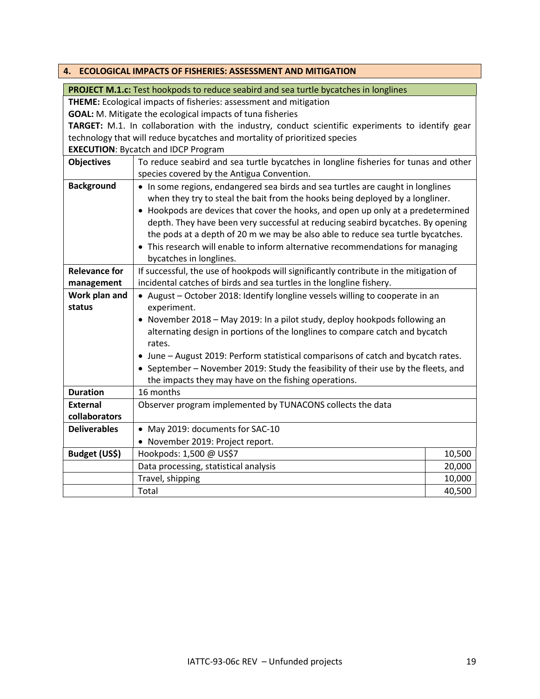<span id="page-18-0"></span>

| <b>ECOLOGICAL IMPACTS OF FISHERIES: ASSESSMENT AND MITIGATION</b><br>4.                          |                                                                                       |        |  |  |
|--------------------------------------------------------------------------------------------------|---------------------------------------------------------------------------------------|--------|--|--|
|                                                                                                  | PROJECT M.1.c: Test hookpods to reduce seabird and sea turtle bycatches in longlines  |        |  |  |
| THEME: Ecological impacts of fisheries: assessment and mitigation                                |                                                                                       |        |  |  |
| <b>GOAL:</b> M. Mitigate the ecological impacts of tuna fisheries                                |                                                                                       |        |  |  |
| TARGET: M.1. In collaboration with the industry, conduct scientific experiments to identify gear |                                                                                       |        |  |  |
| technology that will reduce bycatches and mortality of prioritized species                       |                                                                                       |        |  |  |
|                                                                                                  | <b>EXECUTION: Bycatch and IDCP Program</b>                                            |        |  |  |
| <b>Objectives</b>                                                                                | To reduce seabird and sea turtle bycatches in longline fisheries for tunas and other  |        |  |  |
|                                                                                                  | species covered by the Antigua Convention.                                            |        |  |  |
| <b>Background</b>                                                                                | • In some regions, endangered sea birds and sea turtles are caught in longlines       |        |  |  |
|                                                                                                  | when they try to steal the bait from the hooks being deployed by a longliner.         |        |  |  |
|                                                                                                  | • Hookpods are devices that cover the hooks, and open up only at a predetermined      |        |  |  |
|                                                                                                  | depth. They have been very successful at reducing seabird bycatches. By opening       |        |  |  |
|                                                                                                  | the pods at a depth of 20 m we may be also able to reduce sea turtle bycatches.       |        |  |  |
|                                                                                                  | • This research will enable to inform alternative recommendations for managing        |        |  |  |
|                                                                                                  | bycatches in longlines.                                                               |        |  |  |
| <b>Relevance for</b>                                                                             | If successful, the use of hookpods will significantly contribute in the mitigation of |        |  |  |
| management                                                                                       | incidental catches of birds and sea turtles in the longline fishery.                  |        |  |  |
| Work plan and                                                                                    | • August - October 2018: Identify longline vessels willing to cooperate in an         |        |  |  |
| status                                                                                           | experiment.                                                                           |        |  |  |
|                                                                                                  | • November 2018 - May 2019: In a pilot study, deploy hookpods following an            |        |  |  |
|                                                                                                  | alternating design in portions of the longlines to compare catch and bycatch          |        |  |  |
|                                                                                                  | rates.                                                                                |        |  |  |
|                                                                                                  | • June - August 2019: Perform statistical comparisons of catch and bycatch rates.     |        |  |  |
|                                                                                                  | • September - November 2019: Study the feasibility of their use by the fleets, and    |        |  |  |
|                                                                                                  | the impacts they may have on the fishing operations.                                  |        |  |  |
| <b>Duration</b>                                                                                  | 16 months                                                                             |        |  |  |
| External                                                                                         | Observer program implemented by TUNACONS collects the data                            |        |  |  |
| collaborators                                                                                    |                                                                                       |        |  |  |
| <b>Deliverables</b>                                                                              | • May 2019: documents for SAC-10                                                      |        |  |  |
|                                                                                                  | • November 2019: Project report.                                                      |        |  |  |
| Budget (US\$)                                                                                    | Hookpods: 1,500 @ US\$7                                                               | 10,500 |  |  |
|                                                                                                  | Data processing, statistical analysis                                                 | 20,000 |  |  |
|                                                                                                  | Travel, shipping                                                                      | 10,000 |  |  |
|                                                                                                  | Total                                                                                 | 40,500 |  |  |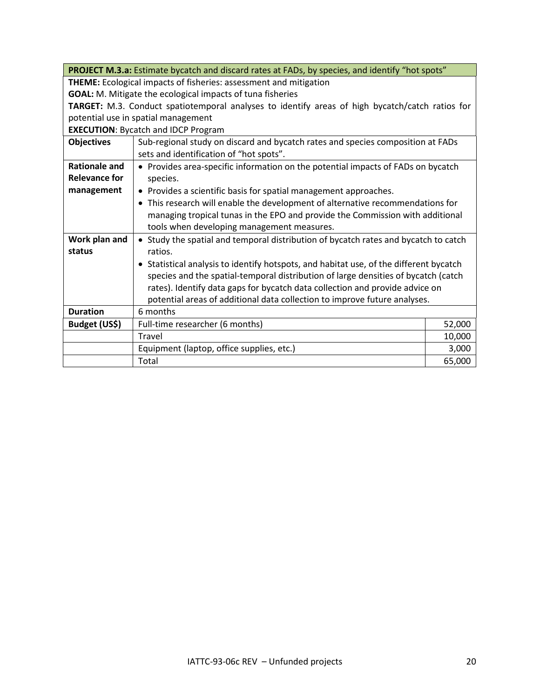|                                                                   | PROJECT M.3.a: Estimate bycatch and discard rates at FADs, by species, and identify "hot spots"                            |        |  |
|-------------------------------------------------------------------|----------------------------------------------------------------------------------------------------------------------------|--------|--|
| THEME: Ecological impacts of fisheries: assessment and mitigation |                                                                                                                            |        |  |
| <b>GOAL:</b> M. Mitigate the ecological impacts of tuna fisheries |                                                                                                                            |        |  |
|                                                                   | TARGET: M.3. Conduct spatiotemporal analyses to identify areas of high bycatch/catch ratios for                            |        |  |
|                                                                   | potential use in spatial management                                                                                        |        |  |
|                                                                   | <b>EXECUTION: Bycatch and IDCP Program</b>                                                                                 |        |  |
| <b>Objectives</b>                                                 | Sub-regional study on discard and bycatch rates and species composition at FADs<br>sets and identification of "hot spots". |        |  |
| <b>Rationale and</b>                                              | • Provides area-specific information on the potential impacts of FADs on bycatch                                           |        |  |
| <b>Relevance for</b>                                              | species.                                                                                                                   |        |  |
| management                                                        | • Provides a scientific basis for spatial management approaches.                                                           |        |  |
|                                                                   | • This research will enable the development of alternative recommendations for                                             |        |  |
|                                                                   | managing tropical tunas in the EPO and provide the Commission with additional                                              |        |  |
|                                                                   | tools when developing management measures.                                                                                 |        |  |
| Work plan and                                                     | • Study the spatial and temporal distribution of bycatch rates and bycatch to catch                                        |        |  |
| status                                                            | ratios.                                                                                                                    |        |  |
|                                                                   | • Statistical analysis to identify hotspots, and habitat use, of the different bycatch                                     |        |  |
|                                                                   | species and the spatial-temporal distribution of large densities of bycatch (catch                                         |        |  |
|                                                                   | rates). Identify data gaps for bycatch data collection and provide advice on                                               |        |  |
|                                                                   | potential areas of additional data collection to improve future analyses.                                                  |        |  |
| <b>Duration</b>                                                   | 6 months                                                                                                                   |        |  |
| Budget (US\$)                                                     | Full-time researcher (6 months)                                                                                            | 52,000 |  |
|                                                                   | Travel                                                                                                                     | 10,000 |  |
|                                                                   | Equipment (laptop, office supplies, etc.)                                                                                  | 3,000  |  |
|                                                                   | Total                                                                                                                      | 65,000 |  |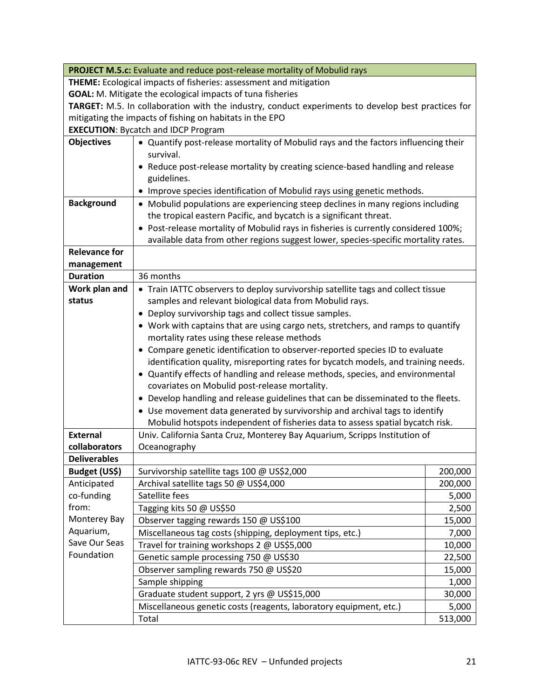| <b>PROJECT M.5.c:</b> Evaluate and reduce post-release mortality of Mobulid rays                   |                                                                                                                                  |         |  |
|----------------------------------------------------------------------------------------------------|----------------------------------------------------------------------------------------------------------------------------------|---------|--|
| THEME: Ecological impacts of fisheries: assessment and mitigation                                  |                                                                                                                                  |         |  |
| <b>GOAL:</b> M. Mitigate the ecological impacts of tuna fisheries                                  |                                                                                                                                  |         |  |
| TARGET: M.5. In collaboration with the industry, conduct experiments to develop best practices for |                                                                                                                                  |         |  |
| mitigating the impacts of fishing on habitats in the EPO                                           |                                                                                                                                  |         |  |
|                                                                                                    | <b>EXECUTION: Bycatch and IDCP Program</b>                                                                                       |         |  |
| <b>Objectives</b>                                                                                  | • Quantify post-release mortality of Mobulid rays and the factors influencing their                                              |         |  |
|                                                                                                    | survival.                                                                                                                        |         |  |
|                                                                                                    | • Reduce post-release mortality by creating science-based handling and release                                                   |         |  |
|                                                                                                    | guidelines.                                                                                                                      |         |  |
|                                                                                                    | • Improve species identification of Mobulid rays using genetic methods.                                                          |         |  |
| <b>Background</b>                                                                                  | • Mobulid populations are experiencing steep declines in many regions including                                                  |         |  |
|                                                                                                    | the tropical eastern Pacific, and bycatch is a significant threat.                                                               |         |  |
|                                                                                                    | • Post-release mortality of Mobulid rays in fisheries is currently considered 100%;                                              |         |  |
|                                                                                                    | available data from other regions suggest lower, species-specific mortality rates.                                               |         |  |
| <b>Relevance for</b>                                                                               |                                                                                                                                  |         |  |
| management<br><b>Duration</b>                                                                      | 36 months                                                                                                                        |         |  |
| Work plan and                                                                                      |                                                                                                                                  |         |  |
| status                                                                                             | • Train IATTC observers to deploy survivorship satellite tags and collect tissue                                                 |         |  |
|                                                                                                    | samples and relevant biological data from Mobulid rays.                                                                          |         |  |
|                                                                                                    | • Deploy survivorship tags and collect tissue samples.                                                                           |         |  |
|                                                                                                    | • Work with captains that are using cargo nets, stretchers, and ramps to quantify<br>mortality rates using these release methods |         |  |
|                                                                                                    | • Compare genetic identification to observer-reported species ID to evaluate                                                     |         |  |
|                                                                                                    | identification quality, misreporting rates for bycatch models, and training needs.                                               |         |  |
|                                                                                                    | • Quantify effects of handling and release methods, species, and environmental                                                   |         |  |
|                                                                                                    | covariates on Mobulid post-release mortality.                                                                                    |         |  |
|                                                                                                    | • Develop handling and release guidelines that can be disseminated to the fleets.                                                |         |  |
|                                                                                                    | • Use movement data generated by survivorship and archival tags to identify                                                      |         |  |
|                                                                                                    | Mobulid hotspots independent of fisheries data to assess spatial bycatch risk.                                                   |         |  |
| <b>External</b>                                                                                    | Univ. California Santa Cruz, Monterey Bay Aquarium, Scripps Institution of                                                       |         |  |
| collaborators                                                                                      | Oceanography                                                                                                                     |         |  |
| <b>Deliverables</b>                                                                                |                                                                                                                                  |         |  |
| Budget (US\$)                                                                                      | Survivorship satellite tags 100 @ US\$2,000                                                                                      | 200,000 |  |
| Anticipated                                                                                        | Archival satellite tags 50 @ US\$4,000                                                                                           | 200,000 |  |
| co-funding                                                                                         | Satellite fees                                                                                                                   | 5,000   |  |
| from:                                                                                              | Tagging kits 50 @ US\$50                                                                                                         | 2,500   |  |
| Monterey Bay                                                                                       | Observer tagging rewards 150 @ US\$100                                                                                           | 15,000  |  |
| Aquarium,                                                                                          | Miscellaneous tag costs (shipping, deployment tips, etc.)                                                                        | 7,000   |  |
| Save Our Seas                                                                                      | Travel for training workshops 2 @ US\$5,000                                                                                      | 10,000  |  |
| Foundation                                                                                         | Genetic sample processing 750 @ US\$30                                                                                           | 22,500  |  |
|                                                                                                    | Observer sampling rewards 750 @ US\$20                                                                                           | 15,000  |  |
|                                                                                                    | Sample shipping                                                                                                                  | 1,000   |  |
|                                                                                                    | Graduate student support, 2 yrs @ US\$15,000                                                                                     | 30,000  |  |
|                                                                                                    | Miscellaneous genetic costs (reagents, laboratory equipment, etc.)                                                               | 5,000   |  |
|                                                                                                    | Total                                                                                                                            | 513,000 |  |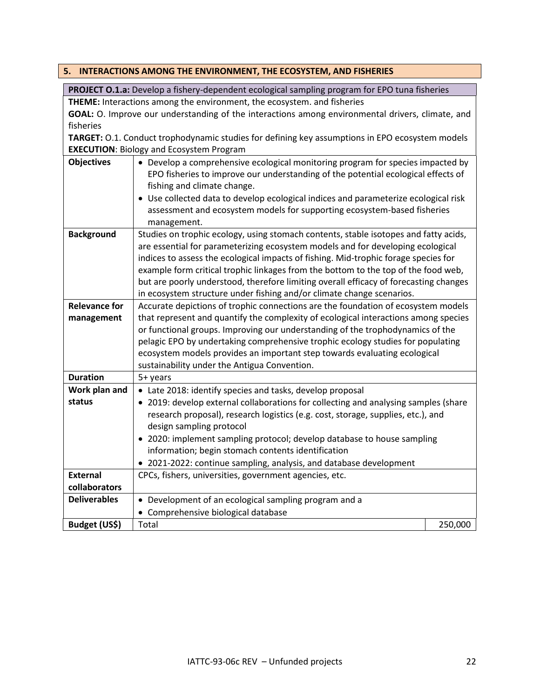<span id="page-21-0"></span>

|                                                                                                  | 5. INTERACTIONS AMONG THE ENVIRONMENT, THE ECOSYSTEM, AND FISHERIES                             |         |  |  |
|--------------------------------------------------------------------------------------------------|-------------------------------------------------------------------------------------------------|---------|--|--|
| PROJECT O.1.a: Develop a fishery-dependent ecological sampling program for EPO tuna fisheries    |                                                                                                 |         |  |  |
| THEME: Interactions among the environment, the ecosystem. and fisheries                          |                                                                                                 |         |  |  |
| GOAL: O. Improve our understanding of the interactions among environmental drivers, climate, and |                                                                                                 |         |  |  |
| fisheries                                                                                        |                                                                                                 |         |  |  |
|                                                                                                  | TARGET: 0.1. Conduct trophodynamic studies for defining key assumptions in EPO ecosystem models |         |  |  |
|                                                                                                  | <b>EXECUTION: Biology and Ecosystem Program</b>                                                 |         |  |  |
| <b>Objectives</b>                                                                                | • Develop a comprehensive ecological monitoring program for species impacted by                 |         |  |  |
|                                                                                                  | EPO fisheries to improve our understanding of the potential ecological effects of               |         |  |  |
|                                                                                                  | fishing and climate change.                                                                     |         |  |  |
|                                                                                                  | • Use collected data to develop ecological indices and parameterize ecological risk             |         |  |  |
|                                                                                                  | assessment and ecosystem models for supporting ecosystem-based fisheries                        |         |  |  |
|                                                                                                  | management.                                                                                     |         |  |  |
| <b>Background</b>                                                                                | Studies on trophic ecology, using stomach contents, stable isotopes and fatty acids,            |         |  |  |
|                                                                                                  | are essential for parameterizing ecosystem models and for developing ecological                 |         |  |  |
|                                                                                                  | indices to assess the ecological impacts of fishing. Mid-trophic forage species for             |         |  |  |
|                                                                                                  | example form critical trophic linkages from the bottom to the top of the food web,              |         |  |  |
|                                                                                                  | but are poorly understood, therefore limiting overall efficacy of forecasting changes           |         |  |  |
|                                                                                                  | in ecosystem structure under fishing and/or climate change scenarios.                           |         |  |  |
| <b>Relevance for</b>                                                                             | Accurate depictions of trophic connections are the foundation of ecosystem models               |         |  |  |
| management                                                                                       | that represent and quantify the complexity of ecological interactions among species             |         |  |  |
|                                                                                                  | or functional groups. Improving our understanding of the trophodynamics of the                  |         |  |  |
|                                                                                                  | pelagic EPO by undertaking comprehensive trophic ecology studies for populating                 |         |  |  |
|                                                                                                  | ecosystem models provides an important step towards evaluating ecological                       |         |  |  |
|                                                                                                  | sustainability under the Antigua Convention.                                                    |         |  |  |
| <b>Duration</b>                                                                                  | 5+ years                                                                                        |         |  |  |
| Work plan and                                                                                    | • Late 2018: identify species and tasks, develop proposal                                       |         |  |  |
| status                                                                                           | • 2019: develop external collaborations for collecting and analysing samples (share             |         |  |  |
|                                                                                                  | research proposal), research logistics (e.g. cost, storage, supplies, etc.), and                |         |  |  |
|                                                                                                  | design sampling protocol                                                                        |         |  |  |
|                                                                                                  | • 2020: implement sampling protocol; develop database to house sampling                         |         |  |  |
|                                                                                                  | information; begin stomach contents identification                                              |         |  |  |
|                                                                                                  | 2021-2022: continue sampling, analysis, and database development                                |         |  |  |
| <b>External</b>                                                                                  | CPCs, fishers, universities, government agencies, etc.                                          |         |  |  |
| collaborators                                                                                    |                                                                                                 |         |  |  |
| <b>Deliverables</b>                                                                              | • Development of an ecological sampling program and a                                           |         |  |  |
|                                                                                                  | Comprehensive biological database                                                               |         |  |  |
| Budget (US\$)                                                                                    | Total                                                                                           | 250,000 |  |  |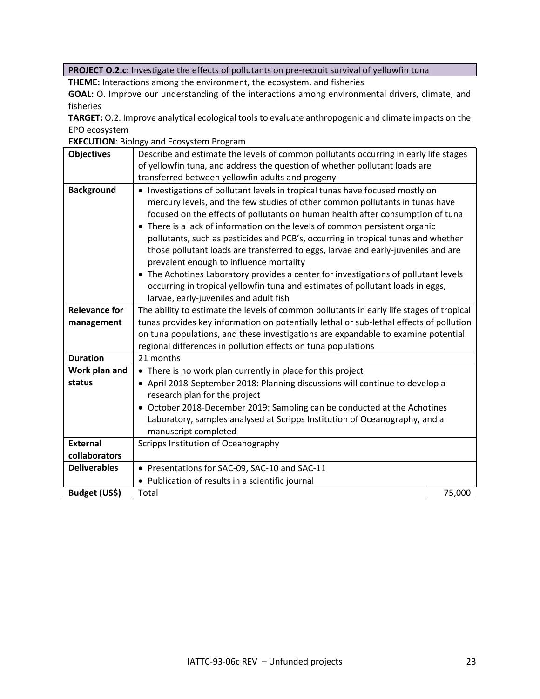**PROJECT O.2.c:** Investigate the effects of pollutants on pre-recruit survival of yellowfin tuna

**THEME:** Interactions among the environment, the ecosystem. and fisheries

**GOAL:** O. Improve our understanding of the interactions among environmental drivers, climate, and fisheries

**TARGET:** O.2. Improve analytical ecological tools to evaluate anthropogenic and climate impacts on the EPO ecosystem

**EXECUTION**: Biology and Ecosystem Program

| <b>Objectives</b>    | Describe and estimate the levels of common pollutants occurring in early life stages                                                                                                                                                                                                                                                                                                                                                                                                                                                                                                                                                                                                                                                                                   |        |  |
|----------------------|------------------------------------------------------------------------------------------------------------------------------------------------------------------------------------------------------------------------------------------------------------------------------------------------------------------------------------------------------------------------------------------------------------------------------------------------------------------------------------------------------------------------------------------------------------------------------------------------------------------------------------------------------------------------------------------------------------------------------------------------------------------------|--------|--|
|                      | of yellowfin tuna, and address the question of whether pollutant loads are                                                                                                                                                                                                                                                                                                                                                                                                                                                                                                                                                                                                                                                                                             |        |  |
|                      | transferred between yellowfin adults and progeny                                                                                                                                                                                                                                                                                                                                                                                                                                                                                                                                                                                                                                                                                                                       |        |  |
| <b>Background</b>    | • Investigations of pollutant levels in tropical tunas have focused mostly on<br>mercury levels, and the few studies of other common pollutants in tunas have<br>focused on the effects of pollutants on human health after consumption of tuna<br>• There is a lack of information on the levels of common persistent organic<br>pollutants, such as pesticides and PCB's, occurring in tropical tunas and whether<br>those pollutant loads are transferred to eggs, larvae and early-juveniles and are<br>prevalent enough to influence mortality<br>• The Achotines Laboratory provides a center for investigations of pollutant levels<br>occurring in tropical yellowfin tuna and estimates of pollutant loads in eggs,<br>larvae, early-juveniles and adult fish |        |  |
| <b>Relevance for</b> | The ability to estimate the levels of common pollutants in early life stages of tropical                                                                                                                                                                                                                                                                                                                                                                                                                                                                                                                                                                                                                                                                               |        |  |
| management           | tunas provides key information on potentially lethal or sub-lethal effects of pollution                                                                                                                                                                                                                                                                                                                                                                                                                                                                                                                                                                                                                                                                                |        |  |
|                      | on tuna populations, and these investigations are expandable to examine potential                                                                                                                                                                                                                                                                                                                                                                                                                                                                                                                                                                                                                                                                                      |        |  |
|                      | regional differences in pollution effects on tuna populations                                                                                                                                                                                                                                                                                                                                                                                                                                                                                                                                                                                                                                                                                                          |        |  |
| <b>Duration</b>      | 21 months                                                                                                                                                                                                                                                                                                                                                                                                                                                                                                                                                                                                                                                                                                                                                              |        |  |
| Work plan and        | • There is no work plan currently in place for this project                                                                                                                                                                                                                                                                                                                                                                                                                                                                                                                                                                                                                                                                                                            |        |  |
| status               | • April 2018-September 2018: Planning discussions will continue to develop a                                                                                                                                                                                                                                                                                                                                                                                                                                                                                                                                                                                                                                                                                           |        |  |
|                      | research plan for the project                                                                                                                                                                                                                                                                                                                                                                                                                                                                                                                                                                                                                                                                                                                                          |        |  |
|                      | • October 2018-December 2019: Sampling can be conducted at the Achotines                                                                                                                                                                                                                                                                                                                                                                                                                                                                                                                                                                                                                                                                                               |        |  |
|                      | Laboratory, samples analysed at Scripps Institution of Oceanography, and a<br>manuscript completed                                                                                                                                                                                                                                                                                                                                                                                                                                                                                                                                                                                                                                                                     |        |  |
| <b>External</b>      | Scripps Institution of Oceanography                                                                                                                                                                                                                                                                                                                                                                                                                                                                                                                                                                                                                                                                                                                                    |        |  |
| collaborators        |                                                                                                                                                                                                                                                                                                                                                                                                                                                                                                                                                                                                                                                                                                                                                                        |        |  |
| <b>Deliverables</b>  | • Presentations for SAC-09, SAC-10 and SAC-11                                                                                                                                                                                                                                                                                                                                                                                                                                                                                                                                                                                                                                                                                                                          |        |  |
|                      | • Publication of results in a scientific journal                                                                                                                                                                                                                                                                                                                                                                                                                                                                                                                                                                                                                                                                                                                       |        |  |
| Budget (US\$)        | Total                                                                                                                                                                                                                                                                                                                                                                                                                                                                                                                                                                                                                                                                                                                                                                  | 75,000 |  |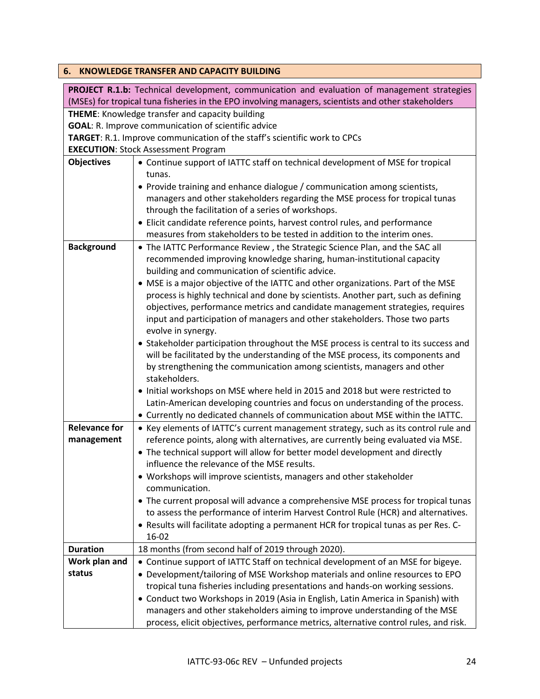<span id="page-23-0"></span>

|                      | 6. KNOWLEDGE TRANSFER AND CAPACITY BUILDING                                                         |
|----------------------|-----------------------------------------------------------------------------------------------------|
|                      | PROJECT R.1.b: Technical development, communication and evaluation of management strategies         |
|                      | (MSEs) for tropical tuna fisheries in the EPO involving managers, scientists and other stakeholders |
|                      | <b>THEME:</b> Knowledge transfer and capacity building                                              |
|                      | <b>GOAL:</b> R. Improve communication of scientific advice                                          |
|                      | TARGET: R.1. Improve communication of the staff's scientific work to CPCs                           |
|                      | <b>EXECUTION: Stock Assessment Program</b>                                                          |
| <b>Objectives</b>    | • Continue support of IATTC staff on technical development of MSE for tropical<br>tunas.            |
|                      | • Provide training and enhance dialogue / communication among scientists,                           |
|                      | managers and other stakeholders regarding the MSE process for tropical tunas                        |
|                      | through the facilitation of a series of workshops.                                                  |
|                      | • Elicit candidate reference points, harvest control rules, and performance                         |
|                      | measures from stakeholders to be tested in addition to the interim ones.                            |
|                      |                                                                                                     |
| <b>Background</b>    | • The IATTC Performance Review, the Strategic Science Plan, and the SAC all                         |
|                      | recommended improving knowledge sharing, human-institutional capacity                               |
|                      | building and communication of scientific advice.                                                    |
|                      | • MSE is a major objective of the IATTC and other organizations. Part of the MSE                    |
|                      | process is highly technical and done by scientists. Another part, such as defining                  |
|                      | objectives, performance metrics and candidate management strategies, requires                       |
|                      | input and participation of managers and other stakeholders. Those two parts                         |
|                      | evolve in synergy.                                                                                  |
|                      | • Stakeholder participation throughout the MSE process is central to its success and                |
|                      | will be facilitated by the understanding of the MSE process, its components and                     |
|                      | by strengthening the communication among scientists, managers and other                             |
|                      | stakeholders.                                                                                       |
|                      | • Initial workshops on MSE where held in 2015 and 2018 but were restricted to                       |
|                      | Latin-American developing countries and focus on understanding of the process.                      |
|                      | • Currently no dedicated channels of communication about MSE within the IATTC.                      |
| <b>Relevance for</b> | • Key elements of IATTC's current management strategy, such as its control rule and                 |
| management           | reference points, along with alternatives, are currently being evaluated via MSE.                   |
|                      | • The technical support will allow for better model development and directly                        |
|                      | influence the relevance of the MSE results.                                                         |
|                      | • Workshops will improve scientists, managers and other stakeholder                                 |
|                      | communication.                                                                                      |
|                      | • The current proposal will advance a comprehensive MSE process for tropical tunas                  |
|                      | to assess the performance of interim Harvest Control Rule (HCR) and alternatives.                   |
|                      | . Results will facilitate adopting a permanent HCR for tropical tunas as per Res. C-                |
|                      | 16-02                                                                                               |
| <b>Duration</b>      | 18 months (from second half of 2019 through 2020).                                                  |
| Work plan and        | • Continue support of IATTC Staff on technical development of an MSE for bigeye.                    |
| status               | • Development/tailoring of MSE Workshop materials and online resources to EPO                       |
|                      | tropical tuna fisheries including presentations and hands-on working sessions.                      |
|                      | • Conduct two Workshops in 2019 (Asia in English, Latin America in Spanish) with                    |
|                      | managers and other stakeholders aiming to improve understanding of the MSE                          |
|                      |                                                                                                     |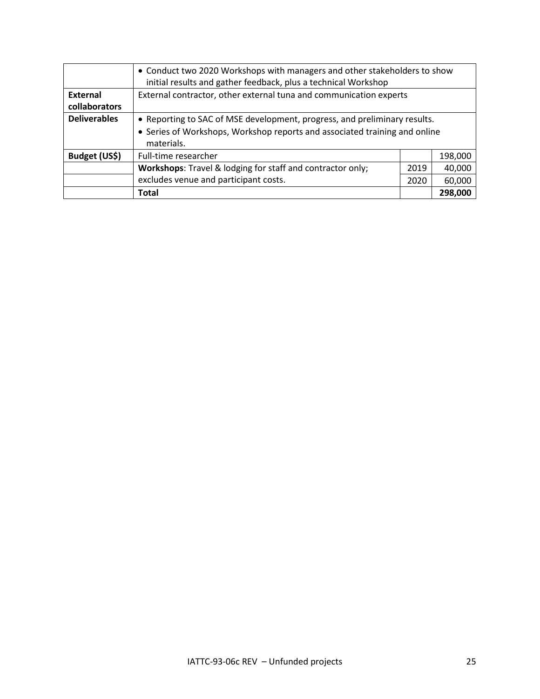|                     | • Conduct two 2020 Workshops with managers and other stakeholders to show<br>initial results and gather feedback, plus a technical Workshop |      |         |
|---------------------|---------------------------------------------------------------------------------------------------------------------------------------------|------|---------|
| <b>External</b>     | External contractor, other external tuna and communication experts                                                                          |      |         |
| collaborators       |                                                                                                                                             |      |         |
| <b>Deliverables</b> | • Reporting to SAC of MSE development, progress, and preliminary results.                                                                   |      |         |
|                     | • Series of Workshops, Workshop reports and associated training and online<br>materials.                                                    |      |         |
| Budget (US\$)       | Full-time researcher                                                                                                                        |      | 198,000 |
|                     | Workshops: Travel & lodging for staff and contractor only;                                                                                  | 2019 | 40,000  |
|                     | excludes venue and participant costs.                                                                                                       | 2020 | 60,000  |
|                     | <b>Total</b>                                                                                                                                |      | 298,000 |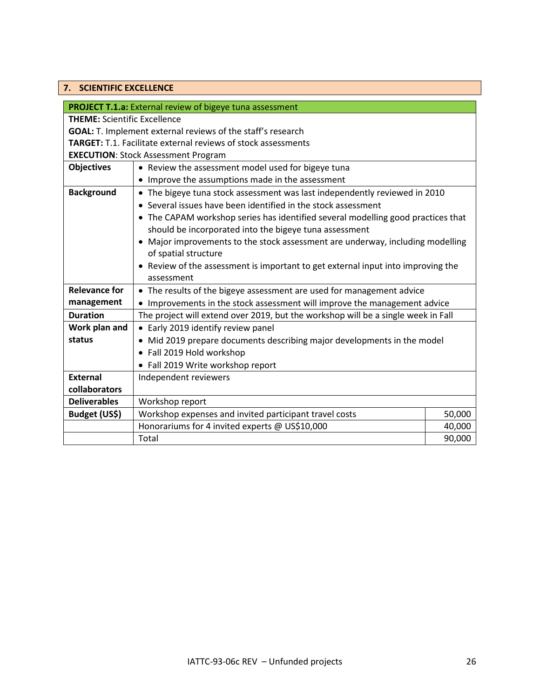## <span id="page-25-0"></span>**7. SCIENTIFIC EXCELLENCE**

|                                                                      | <b>PROJECT T.1.a:</b> External review of bigeye tuna assessment                   |        |  |  |
|----------------------------------------------------------------------|-----------------------------------------------------------------------------------|--------|--|--|
| <b>THEME: Scientific Excellence</b>                                  |                                                                                   |        |  |  |
| <b>GOAL:</b> T. Implement external reviews of the staff's research   |                                                                                   |        |  |  |
| <b>TARGET:</b> T.1. Facilitate external reviews of stock assessments |                                                                                   |        |  |  |
| <b>EXECUTION: Stock Assessment Program</b>                           |                                                                                   |        |  |  |
| <b>Objectives</b>                                                    | • Review the assessment model used for bigeye tuna                                |        |  |  |
|                                                                      | • Improve the assumptions made in the assessment                                  |        |  |  |
| <b>Background</b>                                                    | • The bigeye tuna stock assessment was last independently reviewed in 2010        |        |  |  |
|                                                                      | • Several issues have been identified in the stock assessment                     |        |  |  |
|                                                                      | • The CAPAM workshop series has identified several modelling good practices that  |        |  |  |
|                                                                      | should be incorporated into the bigeye tuna assessment                            |        |  |  |
|                                                                      | Major improvements to the stock assessment are underway, including modelling      |        |  |  |
|                                                                      | of spatial structure                                                              |        |  |  |
|                                                                      | • Review of the assessment is important to get external input into improving the  |        |  |  |
|                                                                      | assessment                                                                        |        |  |  |
| <b>Relevance for</b>                                                 | • The results of the bigeye assessment are used for management advice             |        |  |  |
| management                                                           | • Improvements in the stock assessment will improve the management advice         |        |  |  |
| <b>Duration</b>                                                      | The project will extend over 2019, but the workshop will be a single week in Fall |        |  |  |
| Work plan and                                                        | • Early 2019 identify review panel                                                |        |  |  |
| status                                                               | • Mid 2019 prepare documents describing major developments in the model           |        |  |  |
|                                                                      | • Fall 2019 Hold workshop                                                         |        |  |  |
|                                                                      | • Fall 2019 Write workshop report                                                 |        |  |  |
| <b>External</b>                                                      | Independent reviewers                                                             |        |  |  |
| collaborators                                                        |                                                                                   |        |  |  |
| <b>Deliverables</b>                                                  | Workshop report                                                                   |        |  |  |
| Budget (US\$)                                                        | Workshop expenses and invited participant travel costs                            | 50,000 |  |  |
|                                                                      | Honorariums for 4 invited experts @ US\$10,000                                    | 40,000 |  |  |
|                                                                      | Total                                                                             | 90,000 |  |  |